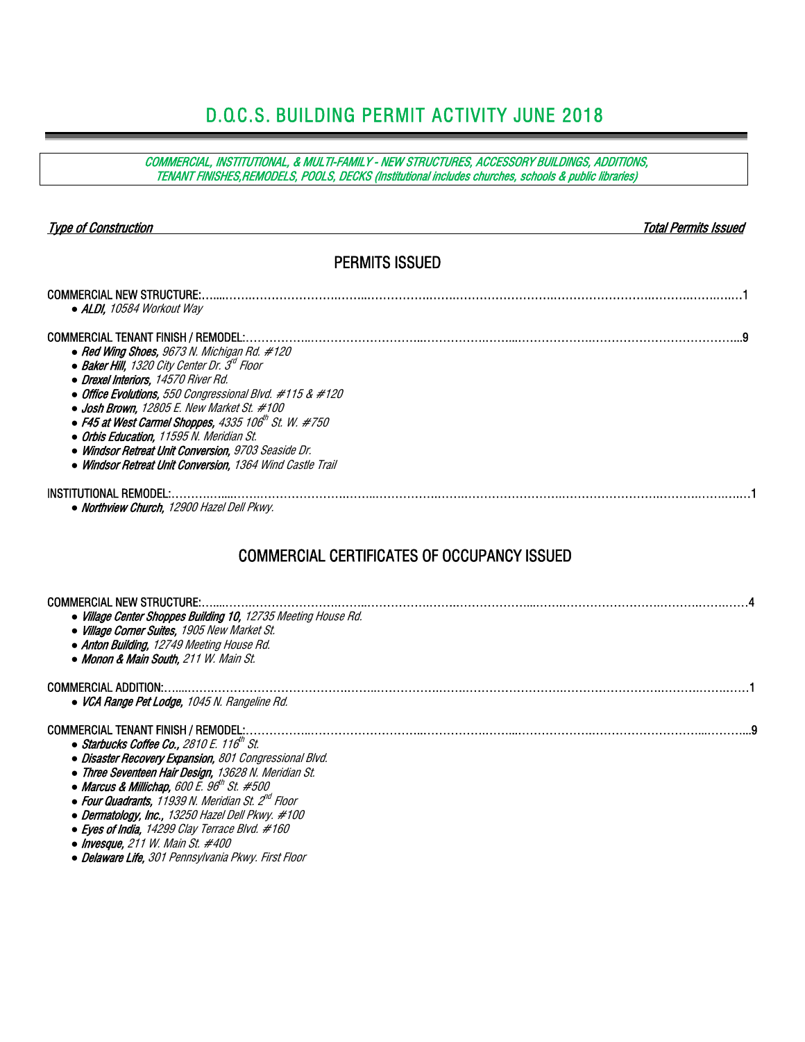### D.O.C.S. BUILDING PERMIT ACTIVITY JUNE 2018

COMMERCIAL, INSTITUTIONAL, & MULTI-FAMILY - NEW STRUCTURES, ACCESSORY BUILDINGS, ADDITIONS, TENANT FINISHES,REMODELS, POOLS, DECKS (Institutional includes churches, schools & public libraries) Type of Construction Total Permits Issued PERMITS ISSUED COMMERCIAL NEW STRUCTURE:…....…….………………….……..…………….…….…………………….…………………….……….…….….…1 *●* ALDI, 10584 Workout Way COMMERCIAL TENANT FINISH / REMODEL:……………..………………………..…………….……...……………….………………………………...9 *●* Red Wing Shoes, 9673 N. Michigan Rd. #120 ● *Baker Hill, 1320 City Center Dr. 3<sup>d</sup> Floor ●* Drexel Interiors, 14570 River Rd. *●* Office Evolutions, 550 Congressional Blvd. #115 & #120 *●* Josh Brown, 12805 E. New Market St. #100 **• F45 at West Carmel Shoppes, 4335 106th St. W. #750**  *●* Orbis Education, 11595 N. Meridian St. *●* Windsor Retreat Unit Conversion, 9703 Seaside Dr. *●* Windsor Retreat Unit Conversion, 1364 Wind Castle Trail INSTITUTIONAL REMODEL:……….…....…….………………….……..…………….…….…………………….…………………….……….…….….…1 *●* Northview Church, 12900 Hazel Dell Pkwy. COMMERCIAL CERTIFICATES OF OCCUPANCY ISSUED COMMERCIAL NEW STRUCTURE:…....…….………………….……..…………….…….………………...…….…………………….……….…….……4 *●* Village Center Shoppes Building 10, 12735 Meeting House Rd. *●* Village Corner Suites, 1905 New Market St. *●* Anton Building, 12749 Meeting House Rd. *●* Monon & Main South, 211 W. Main St. COMMERCIAL ADDITION:…....…….…………………………….……..…………….…….…………………….…………………….……….…….……1 *●* VCA Range Pet Lodge, 1045 N. Rangeline Rd. COMMERCIAL TENANT FINISH / REMODEL:……………..………………………..…………….……...……………….………………………...………...9 • Starbucks Coffee Co., 2810 E. 116<sup>th</sup> St. *●* Disaster Recovery Expansion, 801 Congressional Blvd. *●* Three Seventeen Hair Design, 13628 N. Meridian St. ● *Marcus & Millichap, 600 E. 96<sup>th</sup> St. #500 ●* Four Quadrants, 11939 N. Meridian St. 2nd Floor

- *●* Dermatology, Inc., 13250 Hazel Dell Pkwy. #100
- *●* Eyes of India, 14299 Clay Terrace Blvd. #160
- *●* Invesque, 211 W. Main St. #400
- *●* Delaware Life, 301 Pennsylvania Pkwy. First Floor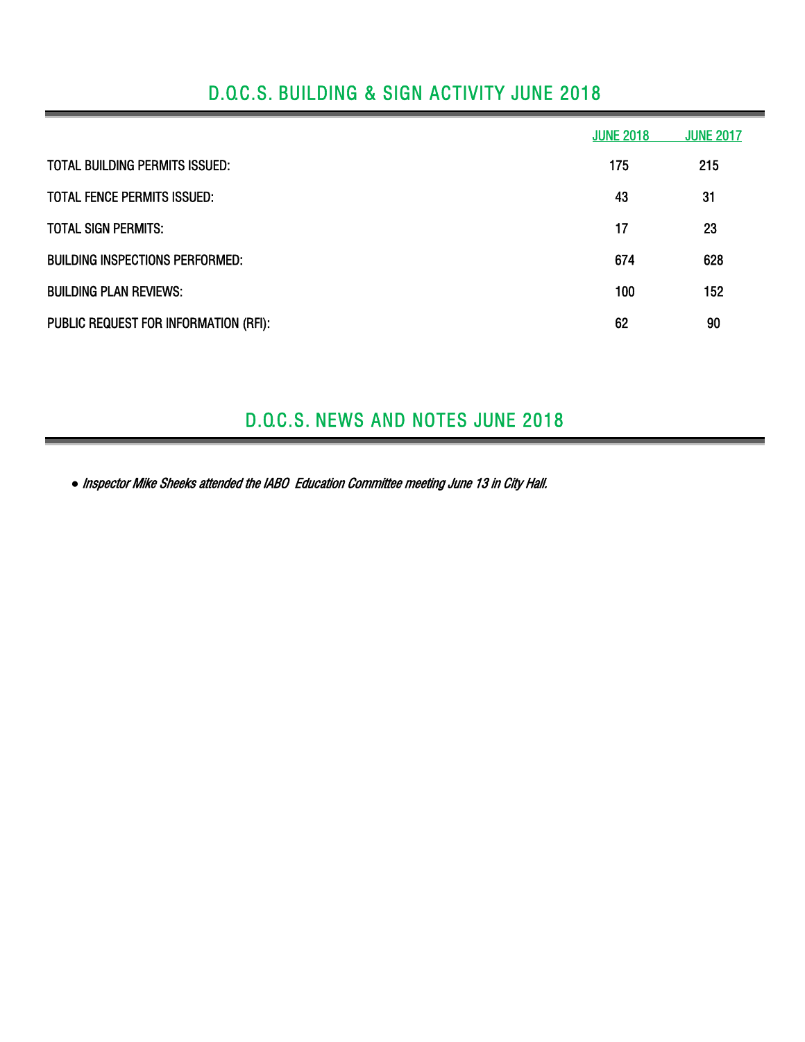## D.O.C.S. BUILDING & SIGN ACTIVITY JUNE 2018

|                                        | <b>JUNE 2018</b> | <b>JUNE 2017</b> |
|----------------------------------------|------------------|------------------|
| <b>TOTAL BUILDING PERMITS ISSUED:</b>  | 175              | 215              |
| <b>TOTAL FENCE PERMITS ISSUED:</b>     | 43               | 31               |
| <b>TOTAL SIGN PERMITS:</b>             | 17               | 23               |
| <b>BUILDING INSPECTIONS PERFORMED:</b> | 674              | 628              |
| <b>BUILDING PLAN REVIEWS:</b>          | 100              | 152              |
| PUBLIC REQUEST FOR INFORMATION (RFI):  | 62               | 90               |

### D.O.C.S. NEWS AND NOTES JUNE 2018

*●* Inspector Mike Sheeks attended the IABO Education Committee meeting June 13 in City Hall.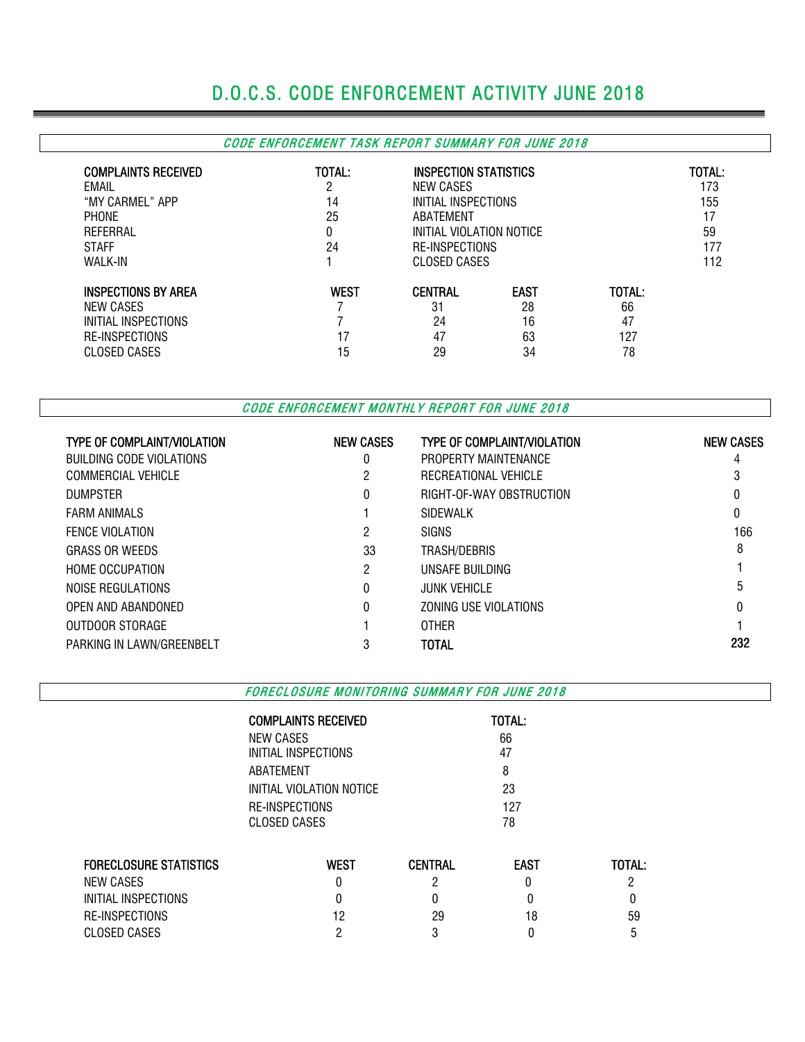# D.O.C.S. CODE ENFORCEMENT ACTIVITY JUNE 2018

#### CODE ENFORCEMENT TASK REPORT SUMMARY FOR JUNE 2018

| <b>COMPLAINTS RECEIVED</b><br>EMAIL<br>"MY CARMEL" APP<br><b>PHONE</b><br>REFERRAL<br><b>STAFF</b><br>WALK-IN | TOTAL:<br>ŋ<br>14<br>25<br>0<br>24 | <b>INSPECTION STATISTICS</b><br>NEW CASES<br>INITIAL INSPECTIONS<br>ABATEMENT<br>INITIAL VIOLATION NOTICE<br>RE-INSPECTIONS<br><b>CLOSED CASES</b> |                                     |                                 | TOTAL:<br>173<br>155<br>17<br>59<br>177<br>112 |
|---------------------------------------------------------------------------------------------------------------|------------------------------------|----------------------------------------------------------------------------------------------------------------------------------------------------|-------------------------------------|---------------------------------|------------------------------------------------|
| <b>INSPECTIONS BY AREA</b><br>NEW CASES<br>INITIAL INSPECTIONS<br><b>RE-INSPECTIONS</b><br>CLOSED CASES       | <b>WEST</b><br>17<br>15            | <b>CENTRAL</b><br>31<br>24<br>47<br>29                                                                                                             | <b>EAST</b><br>28<br>16<br>63<br>34 | TOTAL:<br>66<br>47<br>127<br>78 |                                                |

CODE ENFORCEMENT MONTHLY REPORT FOR JUNE 2018

| <b>TYPE OF COMPLAINT/VIOLATION</b> | <b>NEW CASES</b> | <b>TYPE OF COMPLAINT/VIOLATION</b> | <b>NEW CASES</b> |
|------------------------------------|------------------|------------------------------------|------------------|
| BUILDING CODE VIOLATIONS           | 0                | PROPERTY MAINTENANCE               | 4                |
| <b>COMMERCIAL VEHICLE</b>          | 2                | RECREATIONAL VEHICLE               |                  |
| <b>DUMPSTER</b>                    | $\theta$         | RIGHT-OF-WAY OBSTRUCTION           |                  |
| <b>FARM ANIMALS</b>                |                  | SIDEWALK                           | 0                |
| <b>FENCE VIOLATION</b>             | 2                | <b>SIGNS</b>                       | 166              |
| <b>GRASS OR WEEDS</b>              | 33               | TRASH/DEBRIS                       | 8                |
| <b>HOME OCCUPATION</b>             | 2                | UNSAFE BUILDING                    |                  |
| NOISE REGULATIONS                  | $\theta$         | <b>JUNK VEHICLE</b>                | 5                |
| OPEN AND ABANDONED                 | $\theta$         | ZONING USE VIOLATIONS              |                  |
| OUTDOOR STORAGE                    |                  | <b>OTHER</b>                       |                  |
| PARKING IN LAWN/GREENBELT          | 3                | <b>TOTAL</b>                       | 232              |

FORECLOSURE MONITORING SUMMARY FOR JUNE 2018

COMPLAINTS RECEIVED **TOTAL:** 

|                               | <b>NEW CASES</b>         |                | 66          |        |  |
|-------------------------------|--------------------------|----------------|-------------|--------|--|
|                               | INITIAL INSPECTIONS      |                |             |        |  |
|                               | ABATEMENT                |                |             |        |  |
|                               | INITIAL VIOLATION NOTICE |                |             |        |  |
|                               | RE-INSPECTIONS           |                |             |        |  |
|                               | CLOSED CASES             |                | 78          |        |  |
|                               |                          |                |             |        |  |
| <b>FORECLOSURE STATISTICS</b> | <b>WEST</b>              | <b>CENTRAL</b> | <b>EAST</b> | TOTAL: |  |
| NEW CASES                     | 0                        | ი              |             |        |  |
|                               |                          |                |             |        |  |
| INITIAL INSPECTIONS           | 0                        | 0              |             | 0      |  |
| RE-INSPECTIONS                | 12                       | 29             | 18          | 59     |  |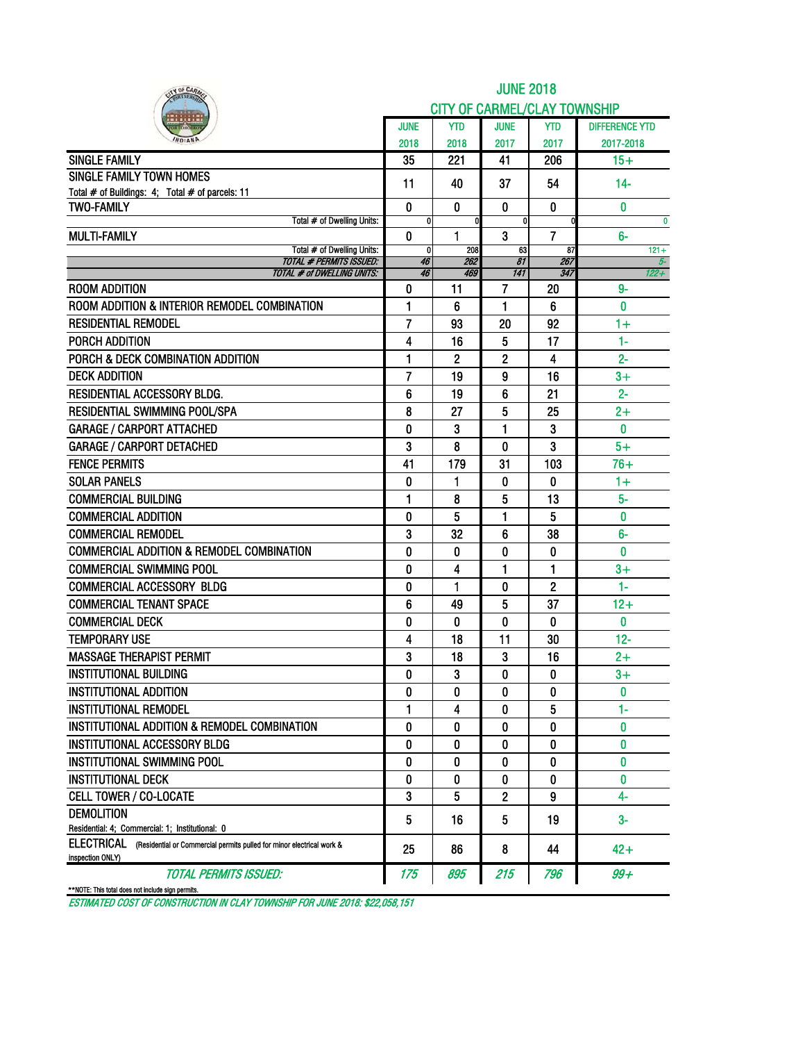| <b>CITY OF CARMEL/CLAY TOWNSHIP</b><br><b>JUNE</b><br><b>JUNE</b><br><b>YTD</b><br><b>YTD</b><br>2018<br>2018<br>2017<br>2017<br><b>SINGLE FAMILY</b><br>35<br>221<br>41<br>206<br>$15+$<br><b>SINGLE FAMILY TOWN HOMES</b><br>11<br>40<br>37<br>54<br>$14-$<br>Total # of Buildings: 4; Total # of parcels: 11<br><b>TWO-FAMILY</b><br>$\bf{0}$<br>$\mathbf{0}$<br>$\bf{0}$<br>$\mathbf{0}$<br>$\mathbf{0}$<br>Total # of Dwelling Units:<br>Ō<br>$\overline{\mathbf{0}}$<br>$\mathbf{0}$<br>O<br><b>MULTI-FAMILY</b><br>0<br>1<br>3<br>7<br>$6-$<br>Total # of Dwelling Units:<br>0<br>208<br>87<br>63<br><b>TOTAL # PERMITS ISSUED:</b><br>46<br>262<br>81<br>267<br><b>TOTAL # of DWELLING UNITS:</b><br>469<br>141<br>347<br>46<br><b>ROOM ADDITION</b><br>11<br>7<br>$9-$<br>0<br>20<br>ROOM ADDITION & INTERIOR REMODEL COMBINATION<br>1<br>6<br>1<br>0<br>6<br><b>RESIDENTIAL REMODEL</b><br>7<br>93<br>20<br>92<br>$1+$<br>$1 -$<br>4<br>5<br>PORCH ADDITION<br>16<br>17<br>PORCH & DECK COMBINATION ADDITION<br>1<br>2<br>2<br>$2 -$<br>4<br>$\overline{7}$<br><b>DECK ADDITION</b><br>19<br>9<br>16<br>$3+$<br>RESIDENTIAL ACCESSORY BLDG.<br>$2 -$<br>6<br>19<br>6<br>21<br><b>RESIDENTIAL SWIMMING POOL/SPA</b><br>8<br>27<br>5<br>25<br>$2+$<br>$\blacksquare$<br>$\bf{0}$<br><b>GARAGE / CARPORT ATTACHED</b><br>0<br>3<br>3<br>3<br>3<br><b>GARAGE / CARPORT DETACHED</b><br>8<br>$5+$<br>0<br><b>FENCE PERMITS</b><br>41<br>179<br>31<br>103<br>$76+$<br><b>SOLAR PANELS</b><br>1<br>0<br>0<br>0<br>$1+$<br><b>COMMERCIAL BUILDING</b><br>5<br>$5-$<br>1<br>8<br>13<br>5<br>5<br>0<br><b>COMMERCIAL ADDITION</b><br>0<br>1<br>$6-$<br><b>COMMERCIAL REMODEL</b><br>3<br>32<br>38<br>6<br><b>COMMERCIAL ADDITION &amp; REMODEL COMBINATION</b><br>0<br>0<br>0<br>0<br>0<br><b>COMMERCIAL SWIMMING POOL</b><br>0<br>1<br>1<br>$3+$<br>4<br>1<br>$1-$<br><b>COMMERCIAL ACCESSORY BLDG</b><br>0<br>0<br>2<br><b>COMMERCIAL TENANT SPACE</b><br>6<br>5<br>37<br>$12+$<br>49<br><b>COMMERCIAL DECK</b><br>$\mathbf{0}$<br>0<br>0<br>0<br>0<br><b>TEMPORARY USE</b><br>11<br>$12 -$<br>4<br>18<br>30<br><b>MASSAGE THERAPIST PERMIT</b><br>3<br>3<br>$2+$<br>18<br>16<br><b>INSTITUTIONAL BUILDING</b><br>3<br>0<br>$3+$<br>0<br>0<br>INSTITUTIONAL ADDITION<br>0<br>0<br>0<br>0<br>0<br>$1-$<br><b>INSTITUTIONAL REMODEL</b><br>1<br>5<br>4<br>0<br>INSTITUTIONAL ADDITION & REMODEL COMBINATION<br>0<br>0<br>0<br>0<br>0<br><b>INSTITUTIONAL ACCESSORY BLDG</b><br>0<br>0<br>0<br>0<br>0<br><b>INSTITUTIONAL SWIMMING POOL</b><br>0<br>0<br>0<br>0<br>0<br>0<br><b>INSTITUTIONAL DECK</b><br>0<br>0<br>0<br>0<br><b>CELL TOWER / CO-LOCATE</b><br>3<br>5<br>4-<br>2<br>9<br><b>DEMOLITION</b><br>$3-$<br>16<br>19 | IY OF CARM                                      | <b>JUNE 2018</b> |  |   |  |                       |  |  |  |  |  |  |
|-------------------------------------------------------------------------------------------------------------------------------------------------------------------------------------------------------------------------------------------------------------------------------------------------------------------------------------------------------------------------------------------------------------------------------------------------------------------------------------------------------------------------------------------------------------------------------------------------------------------------------------------------------------------------------------------------------------------------------------------------------------------------------------------------------------------------------------------------------------------------------------------------------------------------------------------------------------------------------------------------------------------------------------------------------------------------------------------------------------------------------------------------------------------------------------------------------------------------------------------------------------------------------------------------------------------------------------------------------------------------------------------------------------------------------------------------------------------------------------------------------------------------------------------------------------------------------------------------------------------------------------------------------------------------------------------------------------------------------------------------------------------------------------------------------------------------------------------------------------------------------------------------------------------------------------------------------------------------------------------------------------------------------------------------------------------------------------------------------------------------------------------------------------------------------------------------------------------------------------------------------------------------------------------------------------------------------------------------------------------------------------------------------------------------------------------------------------------------------------------------------------------------------------------------------------------------------------------------------------------------------------------------------------------------------------------------------------------------------|-------------------------------------------------|------------------|--|---|--|-----------------------|--|--|--|--|--|--|
|                                                                                                                                                                                                                                                                                                                                                                                                                                                                                                                                                                                                                                                                                                                                                                                                                                                                                                                                                                                                                                                                                                                                                                                                                                                                                                                                                                                                                                                                                                                                                                                                                                                                                                                                                                                                                                                                                                                                                                                                                                                                                                                                                                                                                                                                                                                                                                                                                                                                                                                                                                                                                                                                                                                               |                                                 |                  |  |   |  |                       |  |  |  |  |  |  |
|                                                                                                                                                                                                                                                                                                                                                                                                                                                                                                                                                                                                                                                                                                                                                                                                                                                                                                                                                                                                                                                                                                                                                                                                                                                                                                                                                                                                                                                                                                                                                                                                                                                                                                                                                                                                                                                                                                                                                                                                                                                                                                                                                                                                                                                                                                                                                                                                                                                                                                                                                                                                                                                                                                                               |                                                 |                  |  |   |  | <b>DIFFERENCE YTD</b> |  |  |  |  |  |  |
|                                                                                                                                                                                                                                                                                                                                                                                                                                                                                                                                                                                                                                                                                                                                                                                                                                                                                                                                                                                                                                                                                                                                                                                                                                                                                                                                                                                                                                                                                                                                                                                                                                                                                                                                                                                                                                                                                                                                                                                                                                                                                                                                                                                                                                                                                                                                                                                                                                                                                                                                                                                                                                                                                                                               |                                                 |                  |  |   |  | 2017-2018             |  |  |  |  |  |  |
|                                                                                                                                                                                                                                                                                                                                                                                                                                                                                                                                                                                                                                                                                                                                                                                                                                                                                                                                                                                                                                                                                                                                                                                                                                                                                                                                                                                                                                                                                                                                                                                                                                                                                                                                                                                                                                                                                                                                                                                                                                                                                                                                                                                                                                                                                                                                                                                                                                                                                                                                                                                                                                                                                                                               |                                                 |                  |  |   |  |                       |  |  |  |  |  |  |
|                                                                                                                                                                                                                                                                                                                                                                                                                                                                                                                                                                                                                                                                                                                                                                                                                                                                                                                                                                                                                                                                                                                                                                                                                                                                                                                                                                                                                                                                                                                                                                                                                                                                                                                                                                                                                                                                                                                                                                                                                                                                                                                                                                                                                                                                                                                                                                                                                                                                                                                                                                                                                                                                                                                               |                                                 |                  |  |   |  |                       |  |  |  |  |  |  |
|                                                                                                                                                                                                                                                                                                                                                                                                                                                                                                                                                                                                                                                                                                                                                                                                                                                                                                                                                                                                                                                                                                                                                                                                                                                                                                                                                                                                                                                                                                                                                                                                                                                                                                                                                                                                                                                                                                                                                                                                                                                                                                                                                                                                                                                                                                                                                                                                                                                                                                                                                                                                                                                                                                                               |                                                 |                  |  |   |  |                       |  |  |  |  |  |  |
|                                                                                                                                                                                                                                                                                                                                                                                                                                                                                                                                                                                                                                                                                                                                                                                                                                                                                                                                                                                                                                                                                                                                                                                                                                                                                                                                                                                                                                                                                                                                                                                                                                                                                                                                                                                                                                                                                                                                                                                                                                                                                                                                                                                                                                                                                                                                                                                                                                                                                                                                                                                                                                                                                                                               |                                                 |                  |  |   |  |                       |  |  |  |  |  |  |
|                                                                                                                                                                                                                                                                                                                                                                                                                                                                                                                                                                                                                                                                                                                                                                                                                                                                                                                                                                                                                                                                                                                                                                                                                                                                                                                                                                                                                                                                                                                                                                                                                                                                                                                                                                                                                                                                                                                                                                                                                                                                                                                                                                                                                                                                                                                                                                                                                                                                                                                                                                                                                                                                                                                               |                                                 |                  |  |   |  | $\bf{0}$              |  |  |  |  |  |  |
|                                                                                                                                                                                                                                                                                                                                                                                                                                                                                                                                                                                                                                                                                                                                                                                                                                                                                                                                                                                                                                                                                                                                                                                                                                                                                                                                                                                                                                                                                                                                                                                                                                                                                                                                                                                                                                                                                                                                                                                                                                                                                                                                                                                                                                                                                                                                                                                                                                                                                                                                                                                                                                                                                                                               |                                                 |                  |  |   |  | $121 +$               |  |  |  |  |  |  |
|                                                                                                                                                                                                                                                                                                                                                                                                                                                                                                                                                                                                                                                                                                                                                                                                                                                                                                                                                                                                                                                                                                                                                                                                                                                                                                                                                                                                                                                                                                                                                                                                                                                                                                                                                                                                                                                                                                                                                                                                                                                                                                                                                                                                                                                                                                                                                                                                                                                                                                                                                                                                                                                                                                                               |                                                 |                  |  |   |  | $5-$                  |  |  |  |  |  |  |
|                                                                                                                                                                                                                                                                                                                                                                                                                                                                                                                                                                                                                                                                                                                                                                                                                                                                                                                                                                                                                                                                                                                                                                                                                                                                                                                                                                                                                                                                                                                                                                                                                                                                                                                                                                                                                                                                                                                                                                                                                                                                                                                                                                                                                                                                                                                                                                                                                                                                                                                                                                                                                                                                                                                               |                                                 |                  |  |   |  | $122 +$               |  |  |  |  |  |  |
|                                                                                                                                                                                                                                                                                                                                                                                                                                                                                                                                                                                                                                                                                                                                                                                                                                                                                                                                                                                                                                                                                                                                                                                                                                                                                                                                                                                                                                                                                                                                                                                                                                                                                                                                                                                                                                                                                                                                                                                                                                                                                                                                                                                                                                                                                                                                                                                                                                                                                                                                                                                                                                                                                                                               |                                                 |                  |  |   |  |                       |  |  |  |  |  |  |
|                                                                                                                                                                                                                                                                                                                                                                                                                                                                                                                                                                                                                                                                                                                                                                                                                                                                                                                                                                                                                                                                                                                                                                                                                                                                                                                                                                                                                                                                                                                                                                                                                                                                                                                                                                                                                                                                                                                                                                                                                                                                                                                                                                                                                                                                                                                                                                                                                                                                                                                                                                                                                                                                                                                               |                                                 |                  |  |   |  |                       |  |  |  |  |  |  |
|                                                                                                                                                                                                                                                                                                                                                                                                                                                                                                                                                                                                                                                                                                                                                                                                                                                                                                                                                                                                                                                                                                                                                                                                                                                                                                                                                                                                                                                                                                                                                                                                                                                                                                                                                                                                                                                                                                                                                                                                                                                                                                                                                                                                                                                                                                                                                                                                                                                                                                                                                                                                                                                                                                                               |                                                 |                  |  |   |  |                       |  |  |  |  |  |  |
|                                                                                                                                                                                                                                                                                                                                                                                                                                                                                                                                                                                                                                                                                                                                                                                                                                                                                                                                                                                                                                                                                                                                                                                                                                                                                                                                                                                                                                                                                                                                                                                                                                                                                                                                                                                                                                                                                                                                                                                                                                                                                                                                                                                                                                                                                                                                                                                                                                                                                                                                                                                                                                                                                                                               |                                                 |                  |  |   |  |                       |  |  |  |  |  |  |
|                                                                                                                                                                                                                                                                                                                                                                                                                                                                                                                                                                                                                                                                                                                                                                                                                                                                                                                                                                                                                                                                                                                                                                                                                                                                                                                                                                                                                                                                                                                                                                                                                                                                                                                                                                                                                                                                                                                                                                                                                                                                                                                                                                                                                                                                                                                                                                                                                                                                                                                                                                                                                                                                                                                               |                                                 |                  |  |   |  |                       |  |  |  |  |  |  |
|                                                                                                                                                                                                                                                                                                                                                                                                                                                                                                                                                                                                                                                                                                                                                                                                                                                                                                                                                                                                                                                                                                                                                                                                                                                                                                                                                                                                                                                                                                                                                                                                                                                                                                                                                                                                                                                                                                                                                                                                                                                                                                                                                                                                                                                                                                                                                                                                                                                                                                                                                                                                                                                                                                                               |                                                 |                  |  |   |  |                       |  |  |  |  |  |  |
|                                                                                                                                                                                                                                                                                                                                                                                                                                                                                                                                                                                                                                                                                                                                                                                                                                                                                                                                                                                                                                                                                                                                                                                                                                                                                                                                                                                                                                                                                                                                                                                                                                                                                                                                                                                                                                                                                                                                                                                                                                                                                                                                                                                                                                                                                                                                                                                                                                                                                                                                                                                                                                                                                                                               |                                                 |                  |  |   |  |                       |  |  |  |  |  |  |
|                                                                                                                                                                                                                                                                                                                                                                                                                                                                                                                                                                                                                                                                                                                                                                                                                                                                                                                                                                                                                                                                                                                                                                                                                                                                                                                                                                                                                                                                                                                                                                                                                                                                                                                                                                                                                                                                                                                                                                                                                                                                                                                                                                                                                                                                                                                                                                                                                                                                                                                                                                                                                                                                                                                               |                                                 |                  |  |   |  |                       |  |  |  |  |  |  |
|                                                                                                                                                                                                                                                                                                                                                                                                                                                                                                                                                                                                                                                                                                                                                                                                                                                                                                                                                                                                                                                                                                                                                                                                                                                                                                                                                                                                                                                                                                                                                                                                                                                                                                                                                                                                                                                                                                                                                                                                                                                                                                                                                                                                                                                                                                                                                                                                                                                                                                                                                                                                                                                                                                                               |                                                 |                  |  |   |  |                       |  |  |  |  |  |  |
|                                                                                                                                                                                                                                                                                                                                                                                                                                                                                                                                                                                                                                                                                                                                                                                                                                                                                                                                                                                                                                                                                                                                                                                                                                                                                                                                                                                                                                                                                                                                                                                                                                                                                                                                                                                                                                                                                                                                                                                                                                                                                                                                                                                                                                                                                                                                                                                                                                                                                                                                                                                                                                                                                                                               |                                                 |                  |  |   |  |                       |  |  |  |  |  |  |
|                                                                                                                                                                                                                                                                                                                                                                                                                                                                                                                                                                                                                                                                                                                                                                                                                                                                                                                                                                                                                                                                                                                                                                                                                                                                                                                                                                                                                                                                                                                                                                                                                                                                                                                                                                                                                                                                                                                                                                                                                                                                                                                                                                                                                                                                                                                                                                                                                                                                                                                                                                                                                                                                                                                               |                                                 |                  |  |   |  |                       |  |  |  |  |  |  |
|                                                                                                                                                                                                                                                                                                                                                                                                                                                                                                                                                                                                                                                                                                                                                                                                                                                                                                                                                                                                                                                                                                                                                                                                                                                                                                                                                                                                                                                                                                                                                                                                                                                                                                                                                                                                                                                                                                                                                                                                                                                                                                                                                                                                                                                                                                                                                                                                                                                                                                                                                                                                                                                                                                                               |                                                 |                  |  |   |  |                       |  |  |  |  |  |  |
|                                                                                                                                                                                                                                                                                                                                                                                                                                                                                                                                                                                                                                                                                                                                                                                                                                                                                                                                                                                                                                                                                                                                                                                                                                                                                                                                                                                                                                                                                                                                                                                                                                                                                                                                                                                                                                                                                                                                                                                                                                                                                                                                                                                                                                                                                                                                                                                                                                                                                                                                                                                                                                                                                                                               |                                                 |                  |  |   |  |                       |  |  |  |  |  |  |
|                                                                                                                                                                                                                                                                                                                                                                                                                                                                                                                                                                                                                                                                                                                                                                                                                                                                                                                                                                                                                                                                                                                                                                                                                                                                                                                                                                                                                                                                                                                                                                                                                                                                                                                                                                                                                                                                                                                                                                                                                                                                                                                                                                                                                                                                                                                                                                                                                                                                                                                                                                                                                                                                                                                               |                                                 |                  |  |   |  |                       |  |  |  |  |  |  |
|                                                                                                                                                                                                                                                                                                                                                                                                                                                                                                                                                                                                                                                                                                                                                                                                                                                                                                                                                                                                                                                                                                                                                                                                                                                                                                                                                                                                                                                                                                                                                                                                                                                                                                                                                                                                                                                                                                                                                                                                                                                                                                                                                                                                                                                                                                                                                                                                                                                                                                                                                                                                                                                                                                                               |                                                 |                  |  |   |  |                       |  |  |  |  |  |  |
|                                                                                                                                                                                                                                                                                                                                                                                                                                                                                                                                                                                                                                                                                                                                                                                                                                                                                                                                                                                                                                                                                                                                                                                                                                                                                                                                                                                                                                                                                                                                                                                                                                                                                                                                                                                                                                                                                                                                                                                                                                                                                                                                                                                                                                                                                                                                                                                                                                                                                                                                                                                                                                                                                                                               |                                                 |                  |  |   |  |                       |  |  |  |  |  |  |
|                                                                                                                                                                                                                                                                                                                                                                                                                                                                                                                                                                                                                                                                                                                                                                                                                                                                                                                                                                                                                                                                                                                                                                                                                                                                                                                                                                                                                                                                                                                                                                                                                                                                                                                                                                                                                                                                                                                                                                                                                                                                                                                                                                                                                                                                                                                                                                                                                                                                                                                                                                                                                                                                                                                               |                                                 |                  |  |   |  |                       |  |  |  |  |  |  |
|                                                                                                                                                                                                                                                                                                                                                                                                                                                                                                                                                                                                                                                                                                                                                                                                                                                                                                                                                                                                                                                                                                                                                                                                                                                                                                                                                                                                                                                                                                                                                                                                                                                                                                                                                                                                                                                                                                                                                                                                                                                                                                                                                                                                                                                                                                                                                                                                                                                                                                                                                                                                                                                                                                                               |                                                 |                  |  |   |  |                       |  |  |  |  |  |  |
|                                                                                                                                                                                                                                                                                                                                                                                                                                                                                                                                                                                                                                                                                                                                                                                                                                                                                                                                                                                                                                                                                                                                                                                                                                                                                                                                                                                                                                                                                                                                                                                                                                                                                                                                                                                                                                                                                                                                                                                                                                                                                                                                                                                                                                                                                                                                                                                                                                                                                                                                                                                                                                                                                                                               |                                                 |                  |  |   |  |                       |  |  |  |  |  |  |
|                                                                                                                                                                                                                                                                                                                                                                                                                                                                                                                                                                                                                                                                                                                                                                                                                                                                                                                                                                                                                                                                                                                                                                                                                                                                                                                                                                                                                                                                                                                                                                                                                                                                                                                                                                                                                                                                                                                                                                                                                                                                                                                                                                                                                                                                                                                                                                                                                                                                                                                                                                                                                                                                                                                               |                                                 |                  |  |   |  |                       |  |  |  |  |  |  |
|                                                                                                                                                                                                                                                                                                                                                                                                                                                                                                                                                                                                                                                                                                                                                                                                                                                                                                                                                                                                                                                                                                                                                                                                                                                                                                                                                                                                                                                                                                                                                                                                                                                                                                                                                                                                                                                                                                                                                                                                                                                                                                                                                                                                                                                                                                                                                                                                                                                                                                                                                                                                                                                                                                                               |                                                 |                  |  |   |  |                       |  |  |  |  |  |  |
|                                                                                                                                                                                                                                                                                                                                                                                                                                                                                                                                                                                                                                                                                                                                                                                                                                                                                                                                                                                                                                                                                                                                                                                                                                                                                                                                                                                                                                                                                                                                                                                                                                                                                                                                                                                                                                                                                                                                                                                                                                                                                                                                                                                                                                                                                                                                                                                                                                                                                                                                                                                                                                                                                                                               |                                                 |                  |  |   |  |                       |  |  |  |  |  |  |
|                                                                                                                                                                                                                                                                                                                                                                                                                                                                                                                                                                                                                                                                                                                                                                                                                                                                                                                                                                                                                                                                                                                                                                                                                                                                                                                                                                                                                                                                                                                                                                                                                                                                                                                                                                                                                                                                                                                                                                                                                                                                                                                                                                                                                                                                                                                                                                                                                                                                                                                                                                                                                                                                                                                               |                                                 |                  |  |   |  |                       |  |  |  |  |  |  |
|                                                                                                                                                                                                                                                                                                                                                                                                                                                                                                                                                                                                                                                                                                                                                                                                                                                                                                                                                                                                                                                                                                                                                                                                                                                                                                                                                                                                                                                                                                                                                                                                                                                                                                                                                                                                                                                                                                                                                                                                                                                                                                                                                                                                                                                                                                                                                                                                                                                                                                                                                                                                                                                                                                                               |                                                 |                  |  |   |  |                       |  |  |  |  |  |  |
|                                                                                                                                                                                                                                                                                                                                                                                                                                                                                                                                                                                                                                                                                                                                                                                                                                                                                                                                                                                                                                                                                                                                                                                                                                                                                                                                                                                                                                                                                                                                                                                                                                                                                                                                                                                                                                                                                                                                                                                                                                                                                                                                                                                                                                                                                                                                                                                                                                                                                                                                                                                                                                                                                                                               |                                                 |                  |  |   |  |                       |  |  |  |  |  |  |
|                                                                                                                                                                                                                                                                                                                                                                                                                                                                                                                                                                                                                                                                                                                                                                                                                                                                                                                                                                                                                                                                                                                                                                                                                                                                                                                                                                                                                                                                                                                                                                                                                                                                                                                                                                                                                                                                                                                                                                                                                                                                                                                                                                                                                                                                                                                                                                                                                                                                                                                                                                                                                                                                                                                               |                                                 |                  |  |   |  |                       |  |  |  |  |  |  |
|                                                                                                                                                                                                                                                                                                                                                                                                                                                                                                                                                                                                                                                                                                                                                                                                                                                                                                                                                                                                                                                                                                                                                                                                                                                                                                                                                                                                                                                                                                                                                                                                                                                                                                                                                                                                                                                                                                                                                                                                                                                                                                                                                                                                                                                                                                                                                                                                                                                                                                                                                                                                                                                                                                                               |                                                 |                  |  |   |  |                       |  |  |  |  |  |  |
|                                                                                                                                                                                                                                                                                                                                                                                                                                                                                                                                                                                                                                                                                                                                                                                                                                                                                                                                                                                                                                                                                                                                                                                                                                                                                                                                                                                                                                                                                                                                                                                                                                                                                                                                                                                                                                                                                                                                                                                                                                                                                                                                                                                                                                                                                                                                                                                                                                                                                                                                                                                                                                                                                                                               |                                                 |                  |  |   |  |                       |  |  |  |  |  |  |
|                                                                                                                                                                                                                                                                                                                                                                                                                                                                                                                                                                                                                                                                                                                                                                                                                                                                                                                                                                                                                                                                                                                                                                                                                                                                                                                                                                                                                                                                                                                                                                                                                                                                                                                                                                                                                                                                                                                                                                                                                                                                                                                                                                                                                                                                                                                                                                                                                                                                                                                                                                                                                                                                                                                               |                                                 |                  |  |   |  |                       |  |  |  |  |  |  |
|                                                                                                                                                                                                                                                                                                                                                                                                                                                                                                                                                                                                                                                                                                                                                                                                                                                                                                                                                                                                                                                                                                                                                                                                                                                                                                                                                                                                                                                                                                                                                                                                                                                                                                                                                                                                                                                                                                                                                                                                                                                                                                                                                                                                                                                                                                                                                                                                                                                                                                                                                                                                                                                                                                                               |                                                 |                  |  |   |  |                       |  |  |  |  |  |  |
|                                                                                                                                                                                                                                                                                                                                                                                                                                                                                                                                                                                                                                                                                                                                                                                                                                                                                                                                                                                                                                                                                                                                                                                                                                                                                                                                                                                                                                                                                                                                                                                                                                                                                                                                                                                                                                                                                                                                                                                                                                                                                                                                                                                                                                                                                                                                                                                                                                                                                                                                                                                                                                                                                                                               |                                                 | 5                |  | 5 |  |                       |  |  |  |  |  |  |
|                                                                                                                                                                                                                                                                                                                                                                                                                                                                                                                                                                                                                                                                                                                                                                                                                                                                                                                                                                                                                                                                                                                                                                                                                                                                                                                                                                                                                                                                                                                                                                                                                                                                                                                                                                                                                                                                                                                                                                                                                                                                                                                                                                                                                                                                                                                                                                                                                                                                                                                                                                                                                                                                                                                               | Residential: 4; Commercial: 1; Institutional: 0 |                  |  |   |  |                       |  |  |  |  |  |  |
| ELECTRICAL<br>(Residential or Commercial permits pulled for minor electrical work &<br>25<br>86<br>8<br>$42+$<br>44<br>inspection ONLY)                                                                                                                                                                                                                                                                                                                                                                                                                                                                                                                                                                                                                                                                                                                                                                                                                                                                                                                                                                                                                                                                                                                                                                                                                                                                                                                                                                                                                                                                                                                                                                                                                                                                                                                                                                                                                                                                                                                                                                                                                                                                                                                                                                                                                                                                                                                                                                                                                                                                                                                                                                                       |                                                 |                  |  |   |  |                       |  |  |  |  |  |  |
| <b>TOTAL PERMITS ISSUED:</b><br>99+<br>175<br>895<br>215<br>796<br>**NOTE: This total does not include sign permits.                                                                                                                                                                                                                                                                                                                                                                                                                                                                                                                                                                                                                                                                                                                                                                                                                                                                                                                                                                                                                                                                                                                                                                                                                                                                                                                                                                                                                                                                                                                                                                                                                                                                                                                                                                                                                                                                                                                                                                                                                                                                                                                                                                                                                                                                                                                                                                                                                                                                                                                                                                                                          |                                                 |                  |  |   |  |                       |  |  |  |  |  |  |

ESTIMATED COST OF CONSTRUCTION IN CLAY TOWNSHIP FOR JUNE 2018: \$22,058,151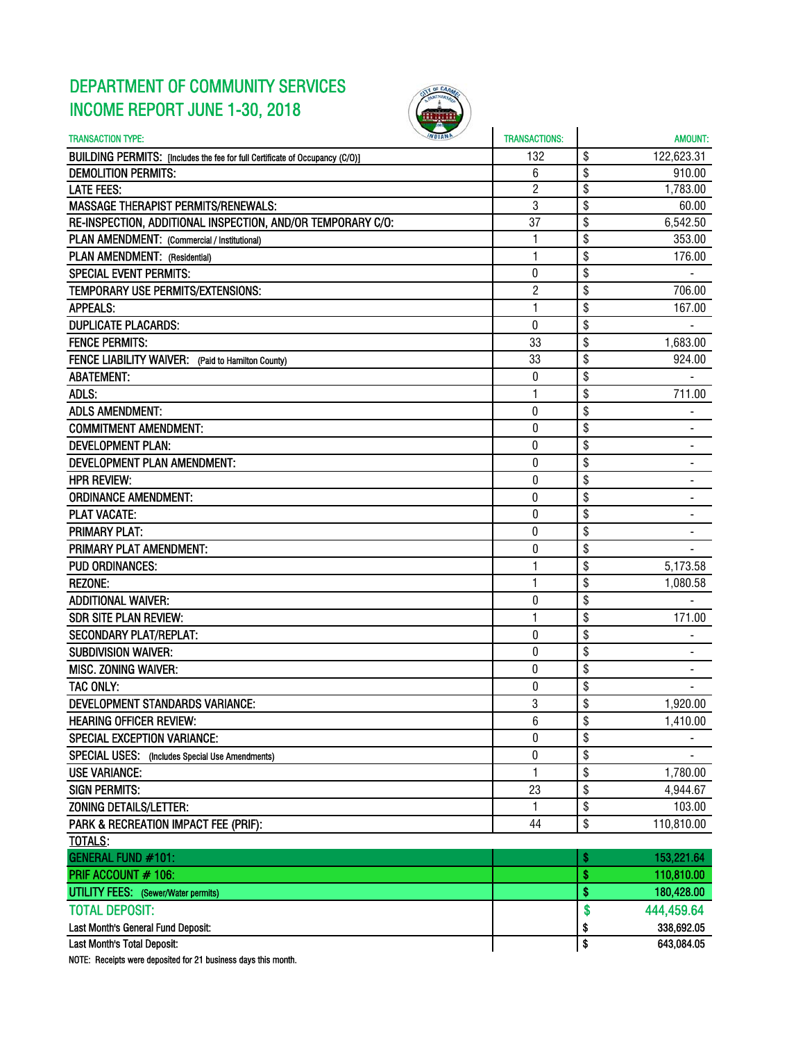## DEPARTMENT OF COMMUNITY SERVICES INCOME REPORT JUNE 1-30, 2018



| <b>TRANSACTION TYPE:</b>                                                     | <b>TRANSACTIONS:</b> |          | <b>AMOUNT:</b> |
|------------------------------------------------------------------------------|----------------------|----------|----------------|
| BUILDING PERMITS: [Includes the fee for full Certificate of Occupancy (C/O)] | 132                  | \$       | 122,623.31     |
| <b>DEMOLITION PERMITS:</b>                                                   | 6                    | \$       | 910.00         |
| <b>LATE FEES:</b>                                                            | $\overline{2}$       | \$       | 1,783.00       |
| <b>MASSAGE THERAPIST PERMITS/RENEWALS:</b>                                   | 3                    | \$       | 60.00          |
| RE-INSPECTION, ADDITIONAL INSPECTION, AND/OR TEMPORARY C/O:                  | 37                   | \$       | 6,542.50       |
| PLAN AMENDMENT: (Commercial / Institutional)                                 | $\mathbf{1}$         | \$       | 353.00         |
| PLAN AMENDMENT: (Residential)                                                | 1                    | \$       | 176.00         |
| <b>SPECIAL EVENT PERMITS:</b>                                                | 0                    | \$       |                |
| TEMPORARY USE PERMITS/EXTENSIONS:                                            | $\overline{c}$       | \$       | 706.00         |
| <b>APPEALS:</b>                                                              | 1                    | \$       | 167.00         |
| <b>DUPLICATE PLACARDS:</b>                                                   | 0                    | \$       |                |
| <b>FENCE PERMITS:</b>                                                        | 33                   | \$       | 1,683.00       |
| FENCE LIABILITY WAIVER: (Paid to Hamilton County)                            | 33                   | \$       | 924.00         |
| <b>ABATEMENT:</b>                                                            | 0                    | \$       |                |
| ADLS:                                                                        | 1                    | \$       | 711.00         |
| <b>ADLS AMENDMENT:</b>                                                       | 0                    | \$       | $\blacksquare$ |
| <b>COMMITMENT AMENDMENT:</b>                                                 | $\mathbf{0}$         | \$       |                |
| <b>DEVELOPMENT PLAN:</b>                                                     | 0                    | \$       |                |
| DEVELOPMENT PLAN AMENDMENT:                                                  | 0                    | \$       |                |
| <b>HPR REVIEW:</b>                                                           | 0                    | \$       |                |
| <b>ORDINANCE AMENDMENT:</b>                                                  | 0                    | \$       | ۰              |
| <b>PLAT VACATE:</b>                                                          | 0                    | \$       |                |
| <b>PRIMARY PLAT:</b>                                                         | 0                    | \$       |                |
| PRIMARY PLAT AMENDMENT:                                                      | 0                    | \$       |                |
| <b>PUD ORDINANCES:</b>                                                       | 1                    | \$       | 5,173.58       |
| <b>REZONE:</b>                                                               | 1                    | \$       | 1,080.58       |
| <b>ADDITIONAL WAIVER:</b>                                                    | 0                    | \$       |                |
| <b>SDR SITE PLAN REVIEW:</b>                                                 | $\mathbf{1}$         | \$       | 171.00         |
| <b>SECONDARY PLAT/REPLAT:</b>                                                | 0                    | \$       |                |
| <b>SUBDIVISION WAIVER:</b>                                                   |                      |          |                |
|                                                                              | 0<br>$\bf{0}$        | \$<br>\$ | $\blacksquare$ |
| <b>MISC. ZONING WAIVER:</b>                                                  |                      |          |                |
| TAC ONLY:                                                                    | 0                    | \$       |                |
| <b>DEVELOPMENT STANDARDS VARIANCE:</b>                                       | 3                    | \$       | 1,920.00       |
| <b>HEARING OFFICER REVIEW:</b>                                               | 6                    | \$       | 1,410.00       |
| <b>SPECIAL EXCEPTION VARIANCE:</b>                                           | $\mathbf{0}$         | \$       |                |
| SPECIAL USES: (Includes Special Use Amendments)                              | $\pmb{0}$            | \$       |                |
| <b>USE VARIANCE:</b>                                                         | 1                    | \$       | 1,780.00       |
| <b>SIGN PERMITS:</b>                                                         | 23                   | \$       | 4,944.67       |
| ZONING DETAILS/LETTER:                                                       | 1                    | \$       | 103.00         |
| PARK & RECREATION IMPACT FEE (PRIF):                                         | 44                   | \$       | 110,810.00     |
| <b>TOTALS:</b>                                                               |                      |          |                |
| GENERAL FUND #101:                                                           |                      | \$       | 153,221.64     |
| PRIF ACCOUNT # 106:                                                          |                      | \$       | 110,810.00     |
| <b>UTILITY FEES:</b> (Sewer/Water permits)                                   |                      | \$       | 180,428.00     |
| <b>TOTAL DEPOSIT:</b>                                                        |                      | \$       | 444,459.64     |
| Last Month's General Fund Deposit:                                           |                      | \$       | 338,692.05     |
| Last Month's Total Deposit:                                                  |                      | \$       | 643,084.05     |
| NOTE: Receipts were deposited for 21 business days this month.               |                      |          |                |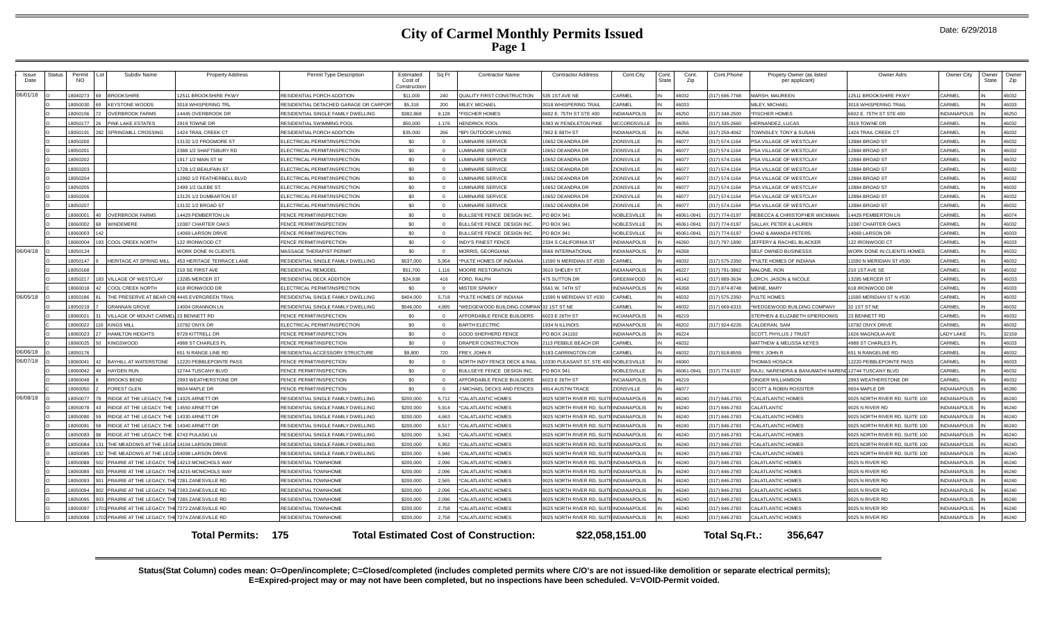| Issue<br>Date | Status | Permit<br>Subdiv Name<br>NO.                                                         | <b>Property Address</b>        | Permit Type Description                                 | Estimated<br>Cost of<br>Constructior | Sq Ft             | <b>Contractor Name</b>                             | <b>Contractor Address</b>         | Cont.City                         | Cont<br>State | Cont.<br>Zip   | Cont.Phone    | Propety Owner (as listed<br>per applicant)      | Owner Adrs                      | Owner City         | Dwner<br>State | Owner<br>Zip   |
|---------------|--------|--------------------------------------------------------------------------------------|--------------------------------|---------------------------------------------------------|--------------------------------------|-------------------|----------------------------------------------------|-----------------------------------|-----------------------------------|---------------|----------------|---------------|-------------------------------------------------|---------------------------------|--------------------|----------------|----------------|
| 06/01/18      |        | 8040273<br><b>ROOKSHIRE</b>                                                          | <b>2511 BROOKSHIRE PKWY</b>    | RESIDENTIAL PORCH ADDITION                              | \$11,000                             | 240               | QUALITY FIRST CONSTRUCTION                         | 535 1ST AVE NE                    | <b>ARMEL</b>                      |               | 46032          | 317) 696-7768 | <b>MARSH, MAUREEN</b>                           | <b>2511 BROOKSHIRE PKWY</b>     | CARMEL             |                | 46032          |
|               |        | 18050030<br><b>KEYSTONE WOODS</b>                                                    | 3018 WHISPERING TRI            | RESIDENTIAL DETACHED GARAGE OR CARPOR                   | \$5,318                              | 200               | MILEY, MICHAEI                                     | 3018 WHISPERING TRAIL             | CARMEL                            | IN            | 22064          |               | MILEY, MICHAEI                                  | <b>3018 WHISPERING TRAI</b>     | CARMEL             |                | 46033          |
|               |        | 18050156<br><b>VERBROOK FARMS</b>                                                    | 4445 OVERBROOK DR              | RESIDENTIAL SINGLE FAMILY DWELLING                      | \$382,868                            | 9.128             | *FISCHER HOMES                                     | 6602 E. 75TH ST STE 400           | NDIANAPOLIS                       |               | 46250          | 317) 348-2500 | <b>FISCHER HOMES</b>                            | 602 E. 75TH ST STE 400          | NDIANAPOLI         |                | 46250          |
|               |        | 18050177<br>INE LAKE ESTATES                                                         | 2919 TOWNE DR                  | RESIDENTIAL SWIMMING POO                                | \$50,000                             | 1.176             | <b>HENDRICK POOL</b>                               | 6383 W PENDLETON PIKE             | <b>CCORDSVILLE</b>                |               | 46055          | 317) 335-2660 | <b>HERNANDEZ, LUCAS</b>                         | 2919 TOWNE DR                   | ARMEI              |                | 46032          |
|               |        | 18050191<br>SPRINGMILL CROSSING                                                      | <b>424 TRAIL CREEK CT</b>      | RESIDENTIAL PORCH ADDITION                              | \$35,000                             | 266               | *BPI OUTDOOR LIVING                                | 7802 E 88TH ST                    | <b>NDIANAPOLIS</b>                |               | 46256          | 317) 259-4062 | OWNSLEY, TONY & SUSAN                           | 424 TRAIL CREEK CT              | CARMEI             |                | 46032          |
|               |        | 18050200                                                                             | 13132 1/2 FROGMORE ST          | ELECTRICAL PERMIT/INSPECTION                            | \$0                                  | $\Omega$          | LUMINAIRE SERVICE                                  | 10652 DEANDRA DR                  | <b>IONSVILLE</b>                  |               | 46077          | 17) 574-1164  | PSA VILLAGE OF WESTCLAY                         | 2884 BROAD ST                   | ARMEI              |                | 46032          |
|               |        | 18050201                                                                             | 2388 1/2 SHAFTSBURY RD         | ELECTRICAL PERMIT/INSPECTION                            | \$0                                  | $\Omega$          | LUMINAIRE SERVICE                                  | 10652 DEANDRA DR                  | ONSVILLE                          |               | 46077          | 17) 574-1164  | PSA VILLAGE OF WESTCLAY                         | 2884 BROAD ST                   | ARMEI              |                | 46032          |
|               |        | 18050202                                                                             | 1917 1/2 MAIN ST W             | ELECTRICAL PERMIT/INSPECTION                            | \$0                                  | $\Omega$          | LUMINAIRE SERVICE                                  | 10652 DEANDRA DR                  | <b>IONSVILLE</b>                  |               | 46077          | 317) 574-1164 | PSA VILLAGE OF WESTCLAY                         | 2884 BROAD ST                   | CARMEL             |                | 46032          |
|               |        | 18050203                                                                             | 1728 1/2 BEAUFAIN ST           | ELECTRICAL PERMIT/INSPECTION                            | \$0                                  | $\Omega$          | LUMINAIRE SERVICE                                  | 10652 DEANDRA DR                  | ZIONSVILLE                        |               | 46077          | 317) 574-1164 | <b>SA VILLAGE OF WESTCLAY</b>                   | 12884 BROAD ST                  | CARMEI             |                | 46032          |
|               |        | 18050204                                                                             | 12992 1/2 FEATHERBELL BLVD     | ELECTRICAL PERMIT/INSPECTION                            | \$0                                  | $\Omega$          | <b>LUMINAIRE SERVICE</b>                           | 10652 DEANDRA DR                  | <b>IONSVILLE</b>                  |               | 46077          | 317) 574-1164 | PSA VILLAGE OF WESTCLAY                         | 2884 BROAD ST                   | CARMEL             |                | 46032          |
|               |        | 18050205                                                                             | 2499 1/2 GLEBE ST.             | ELECTRICAL PERMIT/INSPECTION                            | \$0                                  | $\Omega$          | <b>LUMINAIRE SERVICE</b>                           | 10652 DEANDRA DR                  | <b>IONSVILLE</b>                  | IN            | 46077          | 317) 574-1164 | PSA VILLAGE OF WESTCLAY                         | 2884 BROAD ST                   | CARMEL             |                | 46032          |
|               |        | 18050206                                                                             | 13125 1/2 DUMBARTON ST         | ELECTRICAL PERMIT/INSPECTION                            | \$0                                  | $\Omega$          | <b>LUMINAIRE SERVICE</b>                           | 10652 DEANDRA DR                  | <b>IONSVILLE</b>                  |               | 46077          | 317) 574-1164 | PSA VILLAGE OF WESTCLAY                         | 2884 BROAD ST                   | CARMEL             |                | 46032          |
|               |        | 18050207                                                                             | 13132 1/2 BROAD ST             | <b>ELECTRICAL PERMIT/INSPECTION</b>                     | \$0                                  | $\Omega$          | LUMINAIRE SERVICE                                  | 10652 DEANDRA DR                  | <b>IONSVILLE</b>                  |               | 46077          | 317) 574-1164 | <b>SA VILLAGE OF WESTCLAY</b>                   | 2884 BROAD ST                   | CARMEL             |                | 46032          |
|               |        | <b>OVERBROOK FARMS</b><br>8060001                                                    | 4429 PEMBERTON LN              | FENCE PERMIT/INSPECTION                                 | \$0                                  | $\Omega$          | BULLSEYE FENCE DESIGN INC                          | O BOX 941                         | <b>VOBLESVILLE</b>                |               | 46061-0941     | 317) 774-0197 | REBECCA & CHRISTOPHER WICKMAN                   | 4429 PEMBERTON LN               | CARMEL             |                | 46074          |
|               |        | <b>INDEMERE</b><br>8060002                                                           | 0387 CHARTER OAKS              | FENCE PERMIT/INSPECTION                                 | <b>\$0</b>                           | $\Omega$          | BULLSEYE FENCE DESIGN INC                          | O BOX 941                         | <b>JOBLESVILLE</b>                |               | 16061-0941     | 17) 774-0197  | <b>SALLAY PETER &amp; LAUREN</b>                | 0387 CHARTER OAKS               | CARMEL             |                | 46032          |
|               |        | <b>E0003081</b>                                                                      | 4069 LARSON DRIVE              | FENCE PERMIT/INSPECTION                                 | \$0                                  | $\Omega$          | BULLSEYE FENCE DESIGN INC                          | PO BOX 941                        | <b>JOBLESVILLE</b>                |               | 16061-0941     | 17) 774-0197  | CHAD & AMANDA PETERS                            | 4069 LARSON DR                  | CARMEL             |                | 46033          |
|               |        | COOL CREEK NORTH<br>18060004                                                         | 22 IRONWOOD CT                 | FENCE PERMIT/INSPECTION                                 | \$0                                  | $\Omega$          | <b>INDY'S FINEST FENCE</b>                         | 2334 S CALIFORNIA ST              | NDIANAPOLIS                       |               | 16260          | 317) 797-1890 | <b>IEFFERY &amp; RACHEL BLACKER</b>             | 22 IRONWOOD CT                  | CARMEL             |                | 46033          |
| 06/04/18      |        | 8050124                                                                              | <b>VORK DONE IN CLIENTS</b>    | MASSAGE THERAPIST PERMIT                                | \$0                                  | $\Omega$          | MORRIS, GEORGIANA                                  | 9566 INTERNATIONAL                | NDIANAPOLIS                       |               | 46268          |               | SELF OWNED BUSINESSS                            | VORK DONE IN CLIENTS HOMES      | ARMEI              |                | 46032          |
|               |        | 18050147<br><b>HERITAGE AT SPRING MILI</b>                                           | 453 HERITAGE TERRACE LANE      | RESIDENTIAL SINGLE FAMILY DWELLING                      | \$537,000                            | 5.954             | *PULTE HOMES OF INDIANA                            | 1590 N MERIDIAN ST #530           | ARMEL                             |               | 46032          | 317) 575-2350 | *PULTE HOMES OF INDIANA                         | 1590 N MERIDIAN ST #530         | CARMEL             |                | 46032          |
|               |        | 18050168                                                                             | 210 SE FIRST AVE               | RESIDENTIAL REMODEL                                     | \$51,700                             | 1.116             | MOORE RESTORATION                                  | 3610 SHELBY ST.                   | NDIANAPOLIS                       |               | 46227          | 317) 791-3862 | MAI ONE. RON                                    | 210 1ST AVE SE                  | CARMEL             |                | 46032          |
|               |        | 8050217<br>VILLAGE OF WESTCLAY                                                       | 3285 MERCER ST                 | RESIDENTIAL DECK ADDITION                               | \$24.938                             | 416               | FORD, RALPH                                        | 475 SUTTON DR                     | <b>GREENWOOD</b>                  |               | 46142          | 317) 889-3634 | ORCH. JASON & NICOLE                            | 13285 MERCER ST                 | CARMEI             |                | 46033          |
|               |        | 8060018<br>COOL CREEK NORTH                                                          | 18 IRONWOOD DR                 | ELECTRICAL PERMIT/INSPECTION                            | - \$0                                | $\Omega$          | <b>MISTER SPARKY</b>                               | 5561 W. 74TH ST                   | NDIANAPOLIS                       |               | 46268          | 317) 874-8748 | MEINE, MARY                                     | 618 IRONWOOD DR                 | CARMEI             |                | 46033          |
| 06/05/18      |        | 8050186<br>HE PRESERVE AT BEAR CRI 4445 EVERGREEN TRAI                               |                                | RESIDENTIAL SINGLE FAMILY DWELLING                      | \$404,000                            | 5.718             | *PULTE HOMES OF INDIANA                            | 1590 N MERIDIAN ST #530           | ARMEL                             |               | 46032          | 317) 575-2350 | PULTE HOMES                                     | 1590 MERIDIAN ST N #530         | CARMEL             |                | 46032          |
|               |        | 8050219<br><b>GRANNAN GROVE</b><br>18060021<br>/ILLAGE OF MOUNT CARMEL 23 BENNETT RD | 4004 GRANNON LN                | RESIDENTIAL SINGLE FAMILY DWELLING                      | \$546,000<br>\$0                     | 4.895<br>$\Omega$ | *WEDGEWOOD BUILDING COMPANI32 1ST ST NE            |                                   | ARMEI                             |               | 46032          | 17) 669-6315  | WEDGEWOOD BUILDING COMPANY                      | 21ST ST NE                      | ARMF<br>CARMEI     |                | 46032<br>46032 |
|               |        | KINGS MILL<br>18060022                                                               | 0782 ONYX DR                   | FENCE PERMIT/INSPECTION<br>ELECTRICAL PERMIT/INSPECTION | \$0                                  | $\Omega$          | AFFORDABLE FENCE BUILDERS<br><b>BARTH ELECTRIC</b> | 6023 E 26TH ST<br>1934 N ILLINOIS | <b>NCIANAPOLIS</b><br>NDIANAPOLIS |               | 46219<br>46202 | 317) 924-6226 | STEPHEN & ELIZABETH SPIERDOWIS<br>CALDERAN, SAM | 3 BENNETT RD<br>0782 ONYX DRIVE | ARMEI              |                | 46032          |
|               |        | 18060023<br><b>IAMILTON HEIGHTS</b>                                                  | 9729 KITTRELL DF               | FENCE PERMIT/INSPECTION                                 | \$0                                  | $\Omega$          | <b>GOOD SHEPHERD FENCE</b>                         | PO BOX 241192                     | <b>NDIANAPOLIS</b>                |               | 46224          |               | <b>SCOTT, PHYLLIS J TRUST</b>                   | 626 MAGNOLIA AVE                | <b>ADY LAKE</b>    |                | 32159          |
|               |        | 8060025<br><b>INGSWOOD</b>                                                           | 1988 ST CHARLES PL             | FENCE PERMIT/INSPECTION                                 | \$0                                  | $\Omega$          | DRAPER CONSTRUCTION                                | 2113 PEBBLE BEACH DR              | <b>ARMEL</b>                      | IN            | 46032          |               | MATTHEW & MELISSA KEYES                         | 988 ST CHARLES PL               | CARMEL             |                | 46033          |
| 06/06/18      |        | 8050176                                                                              | 651 N RANGE LINE RD            | RESIDENTIAL ACCESSORY STRUCTURE                         | \$9,800                              | 720               | FREY, JOHN R                                       | 5183 CARRINGTON CIR               | <b>ARMEL</b>                      |               | 46032          | 317) 818-8559 | REY, JOHN R                                     | 651 N RANGELINE RD              | CARMEI             |                | 46032          |
| 06/07/18      |        | <b>BAYHILL AT WATERSTONE</b><br>8060041                                              | <b>2220 PERRI EPOINTE PASS</b> | FENCE PERMIT/INSPECTION                                 | \$0                                  | $\Omega$          | NORTH INDY FENCE DECK & RAIL                       | 10330 PLEASANT ST. STE 400        | NOBLESVILLE                       |               | 08064          |               | <b>THOMAS HOSACK</b>                            | 2220 PEBBLEPOINTE PASS          | CARMEL             |                | 46033          |
|               |        | 18060042<br><b>HAYDEN RUN</b>                                                        | <b>2744 TUSCANY BLVD</b>       | FENCE PERMIT/INSPECTION                                 | \$0                                  | $\Omega$          | BULLSEYE FENCE DESIGN INC                          | O BOX 941                         | <b>JOBLESVILLE</b>                |               | 46061-0941     | 317) 774-0197 | RAJU. NARENDRA & BANUMATHI NAREN                | 12744 TUSCANY BLVD              | ARMEI              |                | 46032          |
|               |        | 18060048<br><b>ROOKS BEND</b>                                                        | <b>2993 WEATHERSTONE DR</b>    | FENCE PERMIT/INSPECTION                                 | \$0                                  | $\Omega$          | AFFORDABLE FENCE BUILDERS                          | 023 E 26TH ST                     | <b>NCIANAPOLIS</b>                |               | 46219          |               | <b>SINGER WILLIAMSON</b>                        | 993 WEATHERSTONE DR             | CARMEL             |                | 46032          |
|               |        | 18060050<br><b>OREST GLEN</b>                                                        | 604 MAPLE DR                   | FENCE PERMIT/INSPECTION                                 | <b>\$0</b>                           |                   | MICHAEL DECKS AND FENCES                           | 4914 AUSTIN TRACE                 | ONSVILLE                          |               | 16077          |               | <b>SCOTT &amp; ROBIN ROSSITER</b>               | 604 MAPLE DR                    | <b>NDIANAPOLIS</b> |                | 46280          |
| 06/08/18      |        | 8050077<br><b>IDGE AT THE LEGACY THE</b>                                             | 14325 ARNETT DF                | RESIDENTIAL SINGLE FAMILY DWELLING                      | \$200,000                            | 5.712             | *CALATLANTIC HOMES                                 | <b>9025 NORTH RIVER RD, SL</b>    | NDIANAPOLIS                       |               | 46240          | 317) 846-2783 | *CALATI ANTIC HOMES                             | 9025 NORTH RIVER RD, SUITE 100  | NDIANAPOLIS        |                | 46240          |
|               |        | 18050078<br><b>IDGE AT THE LEGACY. THE</b>                                           | 4550 ARNETT DR                 | RESIDENTIAL SINGLE FAMILY DWELLING                      | \$200,000                            | 5.914             | *CALATLANTIC HOMES                                 | <b>9025 NORTH RIVER RD, SU</b>    | <b>NDIANAPOLIS</b>                |               | 46240          | 317) 846-2783 | CALATLANTIC                                     | 025 N RIVER RD                  | <b>NDIANAPOLIS</b> |                | 46240          |
|               |        | 8050080<br>IDGE AT THE LEGACY. THE                                                   | 14330 ARNETT DR                | RESIDENTIAL SINGLE FAMILY DWELLING                      | \$200,000                            | 4.663             | *CALATLANTIC HOMES                                 | 1025 NORTH RIVER RD SLI           | <b>NDIANAPOLIS</b>                |               | 46240          | 317) 846-2783 | CALATLANTIC HOMES                               | 025 NORTH RIVER RD, SUITE 100   | <b>IDIANAPOLIS</b> |                | 46240          |
|               |        | 8050081<br>IDGE AT THE LEGACY. THE                                                   | 14340 ARNETT DE                | RESIDENTIAL SINGLE FAMILY DWELLING                      | \$200,000                            | 6.517             | <b>"CALATLANTIC HOMES</b>                          | 9025 NORTH RIVER RD. SUI          | NDIANAPOLIS                       |               | 46240          | 317) 846-2783 | CALATLANTIC HOMES                               | 025 NORTH RIVER RD, SUITE 100   | NDIANAPOLIS        |                | 46240          |
|               |        | IDGE AT THE LEGACY, THE<br>8050083                                                   | 6743 PULASKI LN                | RESIDENTIAL SINGLE FAMILY DWELLING                      | \$200,000                            | 5.342             | *CALATLANTIC HOMES                                 | 1025 NORTH RIVER RD. SUIT         | NDIANAPOLIS                       |               | 46240          | 17) 846-2783  | CALATLANTIC HOMES                               | 025 NORTH RIVER RD, SUITE 100   | NDIANAPOLIS        |                | 46240          |
|               |        | 8050084<br>THE MEADOWS AT THE LEGA 14104 LARSON DRIVE                                |                                | RESIDENTIAL SINGLE FAMILY DWELLING                      | \$200,000                            | 5.952             | CALATLANTIC HOMES                                  | 1025 NORTH RIVER RD. SUIT         | <b>NDIANAPOLIS</b>                |               | 46240          | 17) 846-2783  | CALATLANTIC HOMES                               | 025 NORTH RIVER RD. SUITE 100   | <b>NDIANAPOLIS</b> |                | 46240          |
|               |        | 18050085<br>HE MEADOWS AT THE LEGA                                                   | 14098 LARSON DRIVE             | RESIDENTIAL SINGLE FAMILY DWELLING                      | \$200,000                            | 5.946             | <b>"CALATLANTIC HOMES</b>                          | 025 NORTH RIVER RD, SUI           | NDIANAPOLIS                       |               | 46240          | 317) 846-2783 | CALATLANTIC HOMES                               | 025 NORTH RIVER RD, SUITE 100   | NDIANAPOLIS        |                | 46240          |
|               |        | 18050088<br>PRAIRIE AT THE LEGACY. THI                                               | 14213 MCNICHOLS WAY            | RESIDENTIAL TOWNHOME                                    | \$200,000                            | 2,096             | *CALATLANTIC HOMES                                 | 9025 NORTH RIVER RD, SU           | <b>IDIANAPOLIS</b>                |               | 46240          | 317) 846-2783 | CALATLANTIC HOMES                               | 9025 N RIVER RD                 | NDIANAPOLIS        |                | 46240          |
|               |        | 18050089<br>PRAIRIE AT THE LEGACY. THE                                               | 14215 MCNICHOLS WAY            | RESIDENTIAL TOWNHOME                                    | \$200,000                            | 2.096             | *CALATLANTIC HOMES                                 | 1025 NORTH RIVER RD. SUI          | <b>NDIANAPOLIS</b>                |               | 46240          | 317) 846-2783 | CALATLANTIC HOMES                               | 025 N RIVER RD                  | NDIANAPOLIS        |                | 46240          |
|               |        | 8050093<br>PRAIRIE AT THE LEGACY. THE 7281 ZANESVILLE RD                             |                                | <b>RESIDENTIAL TOWNHOME</b>                             | \$200,000                            | 2.565             | *CALATLANTIC HOMES                                 | <b>9025 NORTH RIVER RD, SUI</b>   | NDIANAPOLIS                       |               | 46240          | 317) 846-2783 | CALATLANTIC HOMES                               | 025 N RIVER RD                  | <b>NDIANAPOLIS</b> |                | 46240          |
|               |        | 8050094<br>PRAIRIE AT THE LEGACY. THE 7283 ZANESVILLE RD                             |                                | RESIDENTIAL TOWNHOME                                    | \$200,000                            | 2.096             | *CALATLANTIC HOMES                                 | 9025 NORTH RIVER RD, SUI          | <b>NDIANAPOLIS</b>                |               | 46240          | 317) 846-2783 | CALATLANTIC HOMES                               | 025 N RIVER RD                  | NDIANAPOLIS        |                | 46240          |
|               |        | PRAIRIE AT THE LEGACY. THE<br>8050095                                                | 7285 ZANESVILLE RD             | RESIDENTIAL TOWNHOME                                    | \$200,000                            | 2.096             | *CALATLANTIC HOMES                                 | <b>9025 NORTH RIVER RD, SUIT</b>  | <b>INDIANAPOLIS</b>               |               | 46240          | 317) 846-2783 | CALATLANTIC HOMES                               | 025 N RIVER RD                  | <b>NDIANAPOLIS</b> |                | 46240          |
|               |        | PRAIRIE AT THE LEGACY, THE 7272 ZANESVILLE RD<br>8050097                             |                                | RESIDENTIAL TOWNHOME                                    | \$200,000                            | 2.758             | CALATLANTIC HOMES                                  | <b>9025 NORTH RIVER RD. SUIT</b>  | NDIANAPOLIS                       |               | 46240          | 17) 846-2783  | <b>CALATLANTIC HOMES</b>                        | 9025 N RIVER RD                 | <b>NDIANAPOLIS</b> |                | 46240          |
|               |        | 702 PRAIRIE AT THE LEGACY. THE 7274 ZANESVILLE RD<br>18050098                        |                                | RESIDENTIAL TOWNHOME                                    | \$200,000                            | 2.758             | *CALATLANTIC HOMES                                 | <b>9025 NORTH RIVER RD, SUIT</b>  | <b>NDIANAPOLIS</b>                |               | 46240          | 317) 846-2783 | CALATLANTIC HOMES                               | 025 N RIVER RD                  | <b>NDIANAPOLIS</b> |                | 46240          |
|               |        |                                                                                      | <b>Total Permits: 175</b>      |                                                         |                                      |                   | <b>Total Estimated Cost of Construction:</b>       |                                   | \$22,058,151.00                   |               |                | Total Sq.Ft.: | 356.647                                         |                                 |                    |                |                |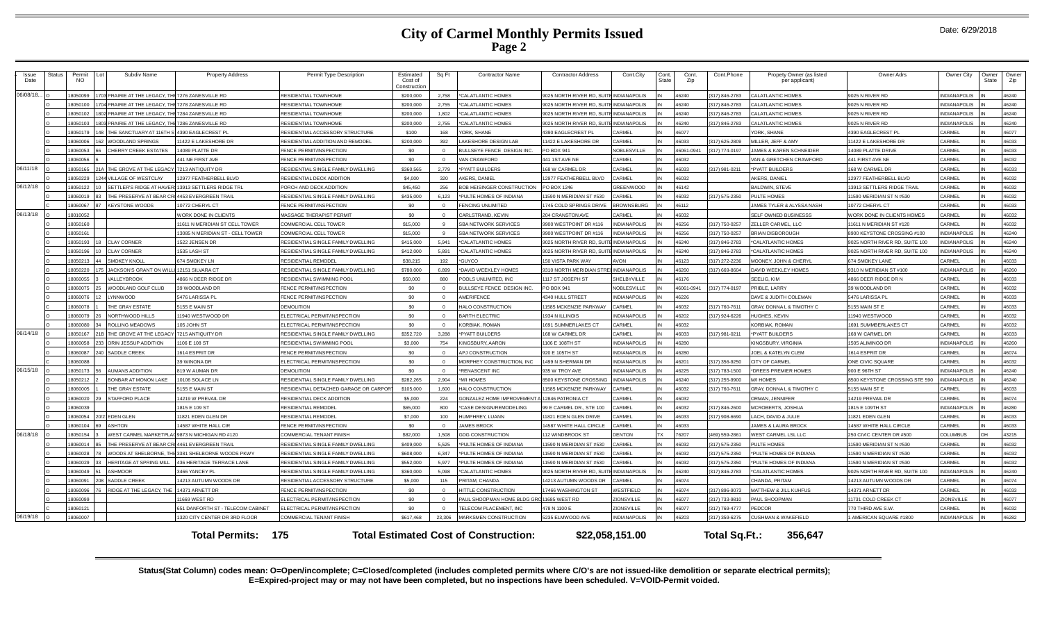| Issue<br>Date | Status | Permit<br><b>NO</b> | Subdiv Name                                          | <b>Property Address</b>                                  | Permit Type Description                                 | Estimated<br>Cost of<br>Constructio | Sq Ft      | <b>Contractor Name</b>                            | <b>Contractor Address</b>              | Cont.City               | Cont.<br>State | Cont.<br>Zip   | Cont.Phone                      | Propety Owner (as listed<br>per applicant) | Owner Adrs                             | Owner City                    | Owner<br>State | Owner<br>Zip   |
|---------------|--------|---------------------|------------------------------------------------------|----------------------------------------------------------|---------------------------------------------------------|-------------------------------------|------------|---------------------------------------------------|----------------------------------------|-------------------------|----------------|----------------|---------------------------------|--------------------------------------------|----------------------------------------|-------------------------------|----------------|----------------|
| 06/08/18      |        | 8050099             | PRAIRIE AT THE LEGACY. THE 7276 ZANESVILLE RD        |                                                          | RESIDENTIAL TOWNHOME                                    | \$200,000                           | 2.758      | 'CALATLANTIC HOMES                                | 9025 NORTH RIVER RD. SL                | <b>NDIANAPOLIS</b>      |                | 46240          | (317) 846-2783                  | <b>ALATLANTIC HOMES</b>                    | 9025 N RIVER RD                        | <b>INDIANAPOLIS</b>           |                | 46240          |
|               |        | 8050100             | PRAIRIE AT THE LEGACY, THE 7278 ZANESVILLE RD        |                                                          | RESIDENTIAL TOWNHOME                                    | \$200,000                           | 2,755      | 'CALATLANTIC HOMES                                | 9025 NORTH RIVER RD, SL                | NDIANAPOLIS             |                | 46240          | 317) 846-2783                   | <b>CALATLANTIC HOMES</b>                   | 9025 N RIVER RD                        | <b>INDIANAPOLIS</b>           |                | 46240          |
|               |        | 8050102             | <b>PRAIRIE AT THE LEGACY. THE 7284 ZANESVILLE RD</b> |                                                          | <b>RESIDENTIAL TOWNHOME</b>                             | \$200,000                           | 1.802      | <b>"CALATLANTIC HOMES</b>                         | 9025 NORTH RIVER RD, SU                | <b>INDIANAPOLIS</b>     |                | 46240          | 317) 846-2783                   | CALATLANTIC HOMES                          | 9025 N RIVER RD                        | <b>INDIANAPOLIS</b>           |                | 46240          |
|               |        | 8050103             | 3 PRAIRIE AT THE LEGACY, THE 7286 ZANESVILLE RD      |                                                          | RESIDENTIAL TOWNHOME                                    | \$200,000                           | 2,755      | 'CALATLANTIC HOMES                                | 9025 NORTH RIVER RD, SU                | <b>INDIANAPOLIS</b>     |                | 46240          | 317) 846-2783                   | CALATLANTIC HOMES                          | 9025 N RIVER RD                        | <b>INDIANAPOLIS</b>           |                | 46240          |
|               |        | 8050179             | HE SANCTUARY AT 116TH ST 4390 FAGLECREST PL          |                                                          | RESIDENTIAL ACCESSORY STRUCTURE                         | \$100                               | 168        | YORK, SHANF                                       | 4390 EAGLECREST PL                     | ARME                    |                | 16077          |                                 | YORK, SHANE                                | 4390 EAGLECREST PL                     | CARMEL                        |                | 46077          |
|               |        | 8060006             | <b>WOODLAND SPRINGS</b>                              | 11422 E LAKESHORE DR                                     | RESIDENTIAL ADDITION AND REMODEL                        | \$200,000                           | 392        | LAKESHORE DESIGN LAB                              | 11422 E LAKESHORE DR                   | ARMEL                   |                | 46033          | (317) 625-2809                  | MILLER, JEFF & AMY                         | 11422 E LAKESHORE DR                   | CARMEL                        |                | 46033          |
|               |        | 8060053             | <b>HERRY CREEK ESTATES</b>                           | 14089 PLATTE DR                                          | <b>FINCE PERMIT/INSPECTION</b>                          | \$0                                 |            | BULLSEYE FENCE DESIGN INC.                        | PO BOX 941                             | <b>JOBLESVILLE</b>      |                | 6061-094       | (317) 774-0197                  | <b>JAMES &amp; KAREN SCHNEIDER</b>         | 14089 PLATTE DRIVE                     | CARMEL                        |                | 46033          |
|               |        | 8060056             |                                                      | 441 NE FIRST AVE                                         | FENCE PERMIT/INSPECTION                                 | \$0                                 | $\sqrt{2}$ | <b>VAN CRAWFORD</b>                               | 441 1ST AVE NE                         | <b>ARMEL</b>            |                | 46032          |                                 | VAN & GRETCHEN CRAWFORD                    | 441 FIRST AVE NE                       | CARMEL                        |                | 46032          |
| 06/11/18      |        | 8050165             | THE GROVE AT THE LEGA                                | 7213 ANTIQUITY DR                                        | RESIDENTIAL SINGLE FAMILY DWELLING                      | \$360,565                           | 2,779      | *PYATT BUILDERS                                   | 168 W CARMEL DR                        | <b>ARMEL</b>            |                | 16033          | 317) 981-0211                   | *PYATT BUILDERS                            | 168 W CARMEL DF                        | CARMEL                        |                | 46033          |
|               |        | 8050229             | 4 VILLAGE OF WESTCLAY                                | 12977 FEATHERBELL BLVD                                   | RESIDENTIAL DECK ADDITION                               | \$4,000                             | 320        | AKERS, DANIEL                                     | 12977 FEATHERBELL BLVD                 | <b>ARMEL</b>            |                | 46032          |                                 | AKERS, DANIEL                              | 12977 FEATHERBELL BLVD                 | CARMEL                        |                | 46032          |
| 06/12/18      |        | 8050122             | SETTLER'S RIDGE AT HAVERS                            | 13913 SETTLERS RIDGE TRL                                 | PORCH AND DECK ADDITION                                 | \$45,450                            | 256        | <b>BOB HEISINGER CONSTRUCTION</b>                 | PO BOX 1246                            | <b>GREENWOOD</b>        |                | 46142          |                                 | <b>BALDWIN, STEVE</b>                      | 13913 SETTLERS RIDGE TRAIL             | CARMEL                        |                | 46032          |
|               |        | 8060019             | THE PRESERVE AT BEAR CR                              | 4453 EVERGREEN TRAIL                                     | RESIDENTIAL SINGLE FAMILY DWELLING                      | \$435,000                           | 6.123      | *PULTE HOMES OF INDIANA                           | 1590 N MERIDIAN ST #530                | ARMEL                   |                | 46032          | (317) 575-2350                  | PULTE HOMES                                | 11590 MERIDIAN ST N #530               | CARMEL                        |                | 46032          |
|               |        | 8060067             | <b>KEYSTONE WOODS</b>                                | 10772 CHERYL CT                                          | <b>ENCE PERMIT/INSPECTION</b>                           | \$0                                 |            | FENCING UNLIMITED                                 | 1745 COLD SPRINGS DRIVE                | ROWNSBURG               |                | 46112          |                                 | JAMES TYLER & ALYSSA NASH                  | 10772 CHERYL CT                        | CARMEL                        |                | 46033          |
| 06/13/18      |        | 8010052             |                                                      | <b><i>NORK DONE IN CLIENTS</i></b>                       | MASSAGE THERAPIST PERMIT                                | \$0                                 | $\Omega$   | CARLSTRAND, KEVIN                                 | 204 CRANSTON AVE                       | ARMEI                   |                | 16032          |                                 | SELF OWNED BUSINESSS                       | WORK DONE IN CLIENTS HOMES             | CARMEL                        |                | 46032          |
|               |        | 8050160             |                                                      | 11611 N MERIDIAN ST CELL TOWER                           | COMMERCIAL CELL TOWER                                   | \$15,000                            |            | SBA NETWORK SERVICES                              | 9900 WESTPOINT DR #116                 | <b>VDIANAPOLIS</b>      |                | 16256          | 317) 750-0257                   | ZELLER CARMEL, LLC                         | 11611 N MERIDIAN ST #120               | CARMEL                        |                | 46032          |
|               |        | 8050161             |                                                      | 13085 N MERIDIAN ST - CELL TOWER                         | COMMERCIAL CELL TOWER                                   | \$15,000                            |            | SBA NETWORK SERVICES                              | 9900 WESTPOINT DR #116                 | <b>JDIANAPOLIS</b>      |                | 16256          | 317) 750-0257                   | <b>BRIAN DISBOROUGH</b>                    | 8900 KEYSTONE CROSSING #100            | <b>INDIANAPOLIS</b>           |                | 46240          |
|               |        | 8050193             | <b>CLAY CORNER</b>                                   | 1522 JENSEN DR                                           | RESIDENTIAL SINGLE FAMILY DWELLING                      | \$415,000                           | 5,941      | 'CALATLANTIC HOMES                                | 9025 NORTH RIVER RD, SU                | NDIANAPOLIS             |                | 16240          | 317) 846-2783                   | *CALATLANTIC HOME:                         | 9025 NORTH RIVER RD, SUITE 100         | <b>INDIANAPOLIS</b>           |                | 46240          |
|               |        | 8050196             | <b>CLAY CORNER</b>                                   | 1535 LASH ST                                             | RESIDENTIAL SINGLE FAMILY DWELLING                      | \$412,000                           | 5.891      | <b>"CALATLANTIC HOMES</b>                         | 9025 NORTH RIVER RD, S                 | <b>INDIANAPOLIS</b>     |                | 46240          | 317) 846-2783                   | <b>CALATLANTIC HOMES</b>                   | 9025 NORTH RIVER RD, SUITE 100         | <b>NDIANAPOLIS</b>            |                | 46240          |
|               |        | 8050213             | <b>SMOKEY KNOLL</b>                                  | 674 SMOKEY LN                                            | <b>RESIDENTIAL REMODEL</b>                              | \$38.215                            | 192        | <b>GUYCO</b>                                      | 150 VISTA PARK WAY                     | <b>VON</b>              |                | 46123          | (317) 272-2236                  | MOONEY, JOHN & CHERYL                      | 674 SMOKEY LANE                        | CARMEL                        |                | 46033          |
|               |        | 8050220             | JACKSON'S GRANT ON WILLI 12151 SILVARA CT            |                                                          | RESIDENTIAL SINGLE FAMILY DWELLING                      | \$780,000                           | 6.899      | *DAVID WEEKLEY HOMES                              | 9310 NORTH MERIDIAN ST                 | <b>INDIANAPOLIS</b>     |                | 46260          | 317) 669-8604                   | DAVID WEEKLEY HOMES                        | 9310 N MERIDIAN ST #100                | <b>INDIANAPOLIS</b>           |                | 46260          |
|               |        | 8060055             | <b>ALLEYBROOK</b>                                    | 4866 N DEER RIDGE DR                                     | RESIDENTIAL SWIMMING POOL                               | \$50,000                            | 880        | POOLS UNLIMITED. INC                              | 1117 ST JOSEPH ST                      | HELBYVILLE              |                | 46176          |                                 | SEELIG, KIM                                | 4866 DEER RIDGE DR N                   | CARMEL                        |                | 46033          |
|               |        | 8060075             | WOODLAND GOLF CLUB                                   | 39 WOODLAND DR                                           | FENCE PERMIT/INSPECTION                                 | \$0                                 | $\Omega$   | BULLSEYE FENCE DESIGN INC.                        | PO BOX 941                             | <b>VOBLESVILLE</b>      |                | 46061-0941     | (317) 774-0197                  | PRIBLE, LARRY                              | 39 WOODLAND DR                         | CARMEL                        |                | 46032          |
|               |        | 8060076             | YNNWOOD                                              | 5476 LARISSA PL                                          | <b>FRICE PERMIT/INSPECTION</b>                          | \$0                                 | $\Omega$   | AMERIFENCE                                        | 4340 HULL STREET                       | <b>NDIANAPOLIS</b>      |                | 16226          |                                 | DAVE & JUDITH COLEMAN                      | 5476 LARISSA PI                        | CARMEL                        |                | 46033          |
|               |        | 8060078             | HE GRAY ESTATE                                       | 155 E MAIN ST                                            | <b>JEMOLITION</b>                                       | \$0                                 | $\sqrt{2}$ | HALO CONSTRUCTION                                 | 1585 MCKENZIE PARKWAY                  | <b>ARMEL</b>            |                | 16032          | (317) 760-7611                  | GRAY, DONNA L & TIMOTHY C                  | 5155 MAIN ST F                         | CARMEL                        |                | 46033          |
|               |        | 8060079             | NORTHWOOD HILLS                                      | 11940 WESTWOOD DR                                        | ELECTRICAL PERMIT/INSPECTION                            | \$0                                 | $\Omega$   | <b>BARTH ELECTRIC</b>                             | 1934 N ILLINOIS                        | NDIANAPOLIS             |                | 46202          | 317) 924-6226                   | HUGHES, KEVIN                              | 11940 WESTWOOD                         | CARMEL                        |                | 46032          |
|               |        | 8060080             | ROLLING MEADOWS                                      | 105 JOHN ST                                              | ELECTRICAL PERMIT/INSPECTION                            | \$0                                 |            | KORBIAK, ROMAN                                    | 1691 SUMMERLAKES CT                    | ARMEL                   |                | 16032          |                                 | <b>KORBIAK, ROMAN</b>                      | 1691 SUMMBERLAKES CT                   | CARMEL                        |                | 46032          |
| 06/14/18      |        | 8050167             | <b>HE GROVE AT THE LEG</b>                           | 7215 ANTIQUITY DR                                        | RESIDENTIAL SINGLE FAMILY DWELLING                      | \$352,720                           | 3.288      | <b>PYATT BUILDERS</b>                             | 168 W CARMEL DF                        | ARMEL                   |                | 16033          | 317) 981-0211                   | *PYATT BUILDERS                            | 168 W CARMEL DF                        | CARMEL                        |                | 46033          |
|               |        | 8060058             | ORIN JESSUP ADDITION                                 | 1106 E 108 ST                                            | RESIDENTIAL SWIMMING POOL                               | \$3,000                             | 754        | KINGSBURY, AARON                                  | 1106 E 108TH ST                        | <b>VDIANAPOLIS</b>      |                | 46280          |                                 | KINGSBURY, VIRGINIA                        | 1505 ALIMINGO DF                       | <b>INDIANAPOLIS</b>           |                | 46260          |
|               |        | 8060087             | <b>SADDLE CREEK</b>                                  | 1614 ESPRIT DR                                           | FENCE PERMIT/INSPECTION                                 | \$0                                 | $\Omega$   | APJ CONSTRUCTION                                  | 920 E 105TH ST                         | NDIANAPOLIS             |                | 46280          |                                 | <b>JOEL &amp; KATELYN CLEM</b>             | 1614 ESPRIT DR                         | CARMEL                        |                | 46074          |
|               |        | 80006088            |                                                      | 39 WINONA DR                                             | ELECTRICAL PERMIT/INSPECTION                            | SO <sub>2</sub>                     |            | MORPHEY CONSTRUCTION, INC                         | 1499 N SHERMAN DR                      | <b>JDIANAPOLIS</b>      |                | 16201          | 317) 356-9250                   | CITY OF CARMEL                             | ONE CIVIC SQUARE                       | CARMEL                        |                | 46032          |
| 06/15/18      |        | 8050173             | <b>AUMANS ADDITION</b>                               | 819 W AUMAN DR                                           | <b>DEMOLITION</b>                                       | \$0                                 | $\Omega$   | <b>RENASCENT INC</b>                              | 935 W TROY AVE                         | <b>NDIANAPOLIS</b>      |                | 46225          | 317) 783-1500                   | DREES PREMIER HOMES                        | 900 F 96TH ST                          | NDIANAPOLIS                   |                | 46240          |
|               |        | 8050212             | BONBAR AT MONON LAKE                                 | 10106 SOLACE LN                                          | RESIDENTIAL SINGLE FAMILY DWELLING                      | \$282,265                           | 2,904      | M/I HOMES                                         | 8500 KEYSTONE CROSSING                 | <b>INDIANAPOLIS</b>     |                | 16240          | 317) 255-9900                   | <b>M/I HOMES</b>                           | 8500 KEYSTONE CROSSING STE 590         | INDIANAPOLIS                  |                | 46240          |
|               |        | 8060005             | THE GRAY ESTATE                                      | 5155 E MAIN ST                                           | RESIDENTIAL DETACHED GARAGE OR CARPOR'                  | \$105,000                           | 1.600      | HALO CONSTRUCTION                                 | 1585 MCKENZIE PARKWAY                  | ARMEL                   |                | 16032          | 317) 760-7611                   | GRAY, DONNA L & TIMOTHY C                  | 5155 MAIN ST F                         | CARMEL                        |                | 46033          |
|               |        | 8060020             | STAFFORD PLACE                                       | 14219 W PREVAIL DR                                       | RESIDENTIAL DECK ADDITION                               | \$5,000                             | 224        | GONZALEZ HOME IMPROVEMENT                         | 12846 PATRONIA CT                      | <b>ARMEL</b>            |                | 16032          |                                 | ORMAN, JENNIFER                            | 14219 PREVAIL DF                       | CARMEL                        |                | 46074          |
|               |        | 8060039             |                                                      | 1815 E 109 ST                                            | RESIDENTIAL REMODEL                                     | \$65,000                            | 800        | 'CASE DESIGN/REMODELING                           | 99 E CARMEL DR., STE 10                | ARMEL                   |                | 46032          | 317) 846-2600                   | MCROBERTS, JOSHU/                          | 1815 E 109TH ST                        | <b>INDIANAPOLIS</b>           |                | 46280          |
|               |        | 8060054             | <b>EDEN GLEN</b>                                     | 11821 EDEN GLEN DR                                       | RESIDENTIAL REMODEI                                     | \$7,000                             | 100        | HUMPHREY, LUANN                                   | 11821 EDEN GLEN DRIVE                  | ARMEL                   |                | 16033          | 317) 908-6690                   | ACH, DAVID & JULIE                         | 11821 EDEN GLEN                        | CARMEL                        |                | 46033          |
|               |        | 8060104             | ASHTON                                               | 14587 WHITE HALL CIR                                     | FENCE PERMIT/INSPECTION                                 | \$0                                 | $\sqrt{2}$ | <b>JAMES BROCK</b>                                | 4587 WHITE HALL CIRCLE                 | ARMEL                   |                | 46033          |                                 | <b>JAMES &amp; LAURA BROCK</b>             | 14587 WHITE HALL CIRCLE                | CARMEL                        |                | 46033          |
| 06/18/18      |        | 8050154             | WEST CARMEL MARKETPL                                 | C9873 N MICHIGAN RD #120                                 | COMMERCIAL TENANT FINISH                                | \$82,000                            | 1.508      | <b>GDG CONSTRUCTION</b>                           | 112 WINDBROOK ST                       | <b>JENTON</b>           | <b>TX</b>      | 76207          | 469) 559-2861                   | WEST CARMEL LSL LLC                        | 250 CIVIC CENTER DR #500               | COLUMBUS                      | OH             | 43215          |
|               |        | 8060014             | HE PRESERVE AT BEAR CR                               | 4461 EVERGREEN TRAIL                                     | RESIDENTIAL SINGLE FAMILY DWELLING                      | \$409,000                           | 5.525      | PULTE HOMES OF INDIANA                            | 1590 N MERIDIAN ST #530                | <b>ARMEL</b>            |                | 16032          | 317) 575-2350                   | PULTE HOMES                                | 11590 MERIDIAN ST N #530               | CARMEL                        |                | 46032          |
|               |        | 8060028             |                                                      | <b>NOODS AT SHELBORNE, THE 3381 SHELBORNE WOODS PKWY</b> | RESIDENTIAL SINGLE FAMILY DWELLING                      | \$608,000                           | 6,347      | PULTE HOMES OF INDIANA                            | 1590 N MERIDIAN ST #530                | ARMEL                   |                | 16032          | 317) 575-2350                   | *PULTE HOMES OF INDIANA                    | 11590 N MERIDIAN ST #530               | CARMEL                        |                | 46032          |
|               |        | 8060029             | <b>HERITAGE AT SPRING MILL</b>                       | <b>436 HERITAGE TERRACE LANE</b>                         | RESIDENTIAL SINGLE FAMILY DWELLING                      | \$552,000                           | 5.977      | PULTE HOMES OF INDIANA                            | 1590 N MERIDIAN ST #530                | ARMEL                   |                | 46032          | 317) 575-2350                   | *PULTE HOMES OF INDIANA                    | 11590 N MERIDIAN ST #530               | CARMEL                        |                | 46032<br>46240 |
|               |        | 8060049             | <b>ASHMOOR</b>                                       | 3466 YANCEY PL                                           | RESIDENTIAL SINGLE FAMILY DWELLING                      | \$360,000                           | 5.098      | <b>"CALATLANTIC HOMES</b>                         | 9025 NORTH RIVER RD, SUIT              | <b>INDIANAPOLIS</b>     |                | 46240<br>16074 | 317) 846-2783                   | *CALATLANTIC HOMES                         | 9025 NORTH RIVER RD, SUITE 100         | <b>INDIANAPOLIS</b><br>CARMEL |                |                |
|               |        | 8060091             | SADDLE CREEK                                         | 14213 AUTUMN WOODS DR                                    | RESIDENTIAL ACCESSORY STRUCTURE                         | \$5,000                             | 115        | PRITAM, CHANDA                                    | 14213 AUTUMN WOODS DR                  | ARMEL                   |                |                |                                 | CHANDA, PRITAM                             | 14213 AUTUMN WOODS DR                  |                               |                | 46074          |
|               |        | 8060096<br>20008081 | RIDGE AT THE LEGACY, THE                             | 14371 ARNETT DR<br>11669 WEST RD                         | FENCE PERMIT/INSPECTION<br>FLECTRICAL PERMIT/INSPECTION | \$0<br>\$0                          | $\Omega$   | HITTLE CONSTRUCTION<br>PAUL SHOOPMAN HOME BLDG GF | 17466 WASHINGTON ST<br>C 11685 WEST RD | VESTFIELD<br>ZIONSVILLE |                | 46074<br>46077 | 317) 896-9073<br>(317) 733-9810 | MATTHEW & JILL KUHFUS<br>PAUL SHOOPMAN     | 14371 ARNETT DR<br>11731 COLD CREEK CT | CARMEL<br>ZIONSVILLI          |                | 46033<br>46077 |
|               |        | S108012             |                                                      | 651 DANFORTH ST - TELECOM CABINET                        | ELECTRICAL PERMIT/INSPECTION                            | \$0                                 | $\Omega$   | TELECOM PLACEMENT, INC                            | 478 N 1100 E                           | <b>ZIONSVILLE</b>       |                | 46077          | (317) 769-4777                  | <b>PEDCOR</b>                              | 770 THIRD AVE S.W                      | CARMEL                        |                | 46032          |
| 06/19/18      |        | 8060007             |                                                      | 1320 CITY CENTER DR 3RD FLOOR                            | COMMERCIAL TENANT FINISH                                | \$617,468                           | 23.306     | <b>MARKSMEN CONSTRUCTION</b>                      | 5235 ELMWOOD AVE                       | <b>NDIANAPOLIS</b>      |                | 46203          | (317) 359-6275                  | LUSHMAN & WAKEFIELD                        | 1 AMERICAN SOUARE #1800                | <b>INDIANAPOLIS</b>           |                | 46282          |
|               |        |                     |                                                      |                                                          |                                                         |                                     |            |                                                   |                                        |                         |                |                |                                 |                                            |                                        |                               |                |                |
|               |        |                     |                                                      | <b>Total Permits: 175</b>                                |                                                         |                                     |            | <b>Total Estimated Cost of Construction:</b>      |                                        | \$22,058,151.00         |                |                | Total Sq.Ft.:                   | 356.647                                    |                                        |                               |                |                |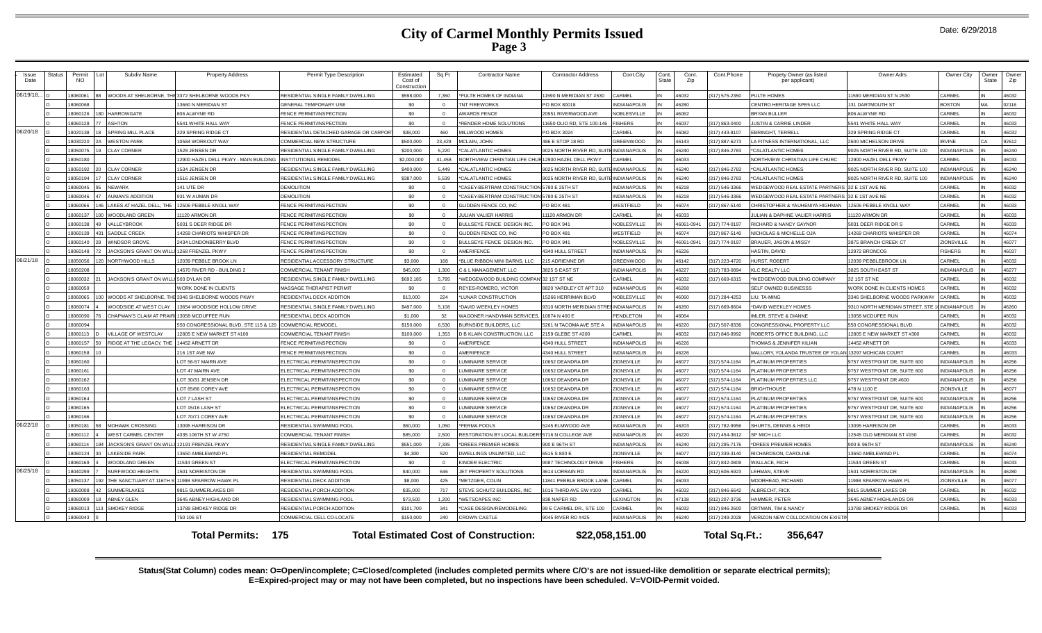|  | Date: 6/29/2018 |
|--|-----------------|
|--|-----------------|

| <b>Issue</b><br>Date | Status | Permit<br>NO. | Subdiv Name                                  | <b>Property Address</b>                          | Permit Type Description                | Estimated<br>Cost of<br>Constructior | Sq Ft          | <b>Contractor Name</b>                              | <b>Contractor Address</b>               | Cont.City           | Cont<br><b>State</b> | Cont.<br>Zip | Cont.Phone     | Propety Owner (as listed<br>per applicant)            | Owner Adrs                        | Owner City         | Owner<br>State | Owner<br>Zip |
|----------------------|--------|---------------|----------------------------------------------|--------------------------------------------------|----------------------------------------|--------------------------------------|----------------|-----------------------------------------------------|-----------------------------------------|---------------------|----------------------|--------------|----------------|-------------------------------------------------------|-----------------------------------|--------------------|----------------|--------------|
| 06/19/18             |        | 8060061       |                                              | VOODS AT SHELBORNE. THE 3372 SHELBORNE WOODS PKY | RESIDENTIAL SINGLE FAMILY DWELLING     | \$598,000                            | 7.350          | *PULTE HOMES OF INDIANA                             | 1590 N MERIDIAN ST #530                 | <b>ARMEL</b>        |                      | 46032        | 317) 575-2350  | PULTE HOMES                                           | 1590 MERIDIAN ST N #530           | CARMEL             |                | 46032        |
|                      |        | 18060068      |                                              | 3660 N MERIDIAN ST                               | <b>GENERAL TEMPORARY USE</b>           | \$0                                  | $\Omega$       | <b>TNT FIREWORKS</b>                                | PO BOX 80018                            | <b>NDIANAPOLIS</b>  |                      | 46280        |                | CENTRO HERITAGE SPE5 LLC                              | 131 DARTMOUTH ST                  | <b>BOSTON</b>      |                | 02116        |
|                      |        | 18060126      | <b>HARROWGATE</b>                            | 306 ALWYNE RD                                    | FENCE PERMIT/INSPECTION                | \$0                                  | $\Omega$       | <b>AWARDS FENCE</b>                                 | 20951 RIVERWOOD AVE                     | <b>NOBLESVILLE</b>  |                      | \$6062       |                | <b>BRYAN BULLER</b>                                   | 806 ALWYNE RD                     | CARMEL             |                | 46032        |
|                      |        | 18060128      | <b>ASHTON</b>                                | 541 WHITE HALL WAY                               | <b>ENCE PERMIT/INSPECTION</b>          | \$0                                  |                | *RENDER HOME SOLUTIONS                              | 1650 OLIO RD, STE 100-146               | <b>FISHERS</b>      |                      | 16037        | (317) 863-0400 | USTIN & CARRIE LINDER                                 | 5541 WHITE HALL WAY               | CARMEI             |                | 46033        |
| 06/20/18             |        | 18020138      | SPRING MILL PLACE                            | 329 SPRING RIDGE CT                              | RESIDENTIAL DETACHED GARAGE OR CARPOR' | \$38,000                             | 460            | MILI WOOD HOMES                                     | PO BOX 3024                             | ARMEL               |                      | <b>CROAN</b> | (317) 443-8107 | <b>RRINGHT TERRELL</b>                                | 329 SPRING RIDGE CT               | CARMEL             |                | 46032        |
|                      |        | 18030220      | <b>WESTON PARK</b>                           | 0584 WORKOUT WAY                                 | COMMERCIAL NEW STRUCTURE               | \$500,000                            | 23,429         | MCI AIN JOHN                                        | 486 E STOP 18 RD                        | <b>REENWOOD</b>     |                      | 46143        | (317) 887-6273 | A FITNESS INTERNATIONAL, LLC                          | 2600 MICHELSON DRIVE              | <b>RVINE</b>       |                | 92612        |
|                      |        | 18050075      | <b>CLAY CORNER</b>                           | 528 JENSEN DR                                    | RESIDENTIAL SINGLE FAMILY DWELLING     | \$200,000                            | 5.220          | *CALATLANTIC HOMES                                  | 9025 NORTH RIVER RD, SUITE INDIANAPOLIS |                     |                      | 46240        | (317) 846-2783 | *CALATLANTIC HOMES                                    | 9025 NORTH RIVER RD, SUITE 100    | <b>NDIANAPOLIS</b> |                | 46240        |
|                      |        | 18050180      |                                              | 2900 HAZEL DELL PKWY - MAIN BUILDING             | <b>INSTITUTIONAL REMODEL</b>           | \$2,000,000                          | 41.458         | NORTHVIEW CHRISTIAN LIFE CHUR 12900 HAZEL DELL PKWY |                                         | ARMEL               |                      | 46033        |                | NORTHVIEW CHRISTIAN LIFE CHURC                        | 2900 HAZEL DELL PKWY              | CARMEL             |                | 46033        |
|                      |        | 18050192      | <b>CLAY CORNER</b>                           | 534 JENSEN DR                                    | RESIDENTIAL SINGLE FAMILY DWELLING     | \$400,000                            | 5,449          | *CALATLANTIC HOMES                                  | 025 NORTH RIVER RD, SUIT                | NDIANAPOLIS         |                      | 46240        | 317) 846-2783  | *CALATLANTIC HOMES                                    | 9025 NORTH RIVER RD, SUITE 100    | NDIANAPOLIS        |                | 46240        |
|                      |        | 18050194      | <b>CLAY CORNER</b>                           | 1516 JENSEN DR                                   | RESIDENTIAL SINGLE FAMILY DWELLING     | \$387,000                            | 5.539          | *CALATLANTIC HOMES                                  | 9025 NORTH RIVER RD SUITE               | <b>INDIANAPOLIS</b> |                      | 46240        | 317) 846-2783  | *CALATLANTIC HOMES                                    | 9025 NORTH RIVER RD, SUITE 100    | <b>NDIANAPOLIS</b> |                | 46240        |
|                      |        | 18060045      | <b>NEWARK</b>                                | 41 UTE DR                                        | <b>DEMOLITION</b>                      | \$0                                  | $\Omega$       | *CASEY-BERTRAM CONSTRUCTION 5780 E 25TH ST          |                                         | <b>NDIANAPOLIS</b>  |                      | 46218        | 317) 546-3366  | VEDGEWOOD REAL ESTATE PARTNERS 32 E 1ST AVE NE        |                                   | CARMEL             |                | 46032        |
|                      |        | 18060046      | <b>AUMAN'S ADDITION</b>                      | 31 W AUMAN DR                                    | <b>DEMOLITION</b>                      | \$0                                  | $\Omega$       | *CASEY-BERTRAM CONSTRUCTION 5780 E 25TH ST          |                                         | NDIANAPOLIS         |                      | 16218        | (317) 546-3366 | VEDGEWOOD REAL ESTATE PARTNERS                        | 32 F 1ST AVE NE                   | CARMEL             |                | 46032        |
|                      |        | 18060066      | AKES AT HAZEL DELL. 1                        | 2506 PEBBLE KNOLL WAY                            | <b>ENCE PERMIT/INSPECTION</b>          | \$0                                  |                | GLIDDEN FENCE CO. INC                               | PO BOX 481                              | <b>NESTFIELD</b>    |                      | 46074        | (317) 867-5140 | HRISTOPHER & YAUHENIYA HIGHMAN                        | 12506 PEBBLE KNOLL WAY            | CARMEI             |                | 46033        |
|                      |        | 18060137      | <b>WOODLAND GREEN</b>                        | 1120 ARMON DR                                    | FENCE PERMIT/INSPECTION                | \$0                                  | $\Omega$       | <b>JULIAN VALIER HARRIS</b>                         | 11120 ARMON DR                          | <b>ARMEL</b>        |                      | 46033        |                | JULIAN & DAPHNE VALIER HARRIS                         | 11120 ARMON DR                    | CARMEL             |                | 46033        |
|                      |        | 18060138      | <b>ALLEYBROOK</b>                            | 6031 S DEER RIDGE DR                             | FENCE PERMIT/INSPECTION                | \$0                                  | $\Omega$       | BULLSEYE FENCE DESIGN INC                           | <b>PO BOX 941</b>                       | <b>NOBLESVILL</b>   |                      | 46061-0941   | 317) 774-0197  | RICHARD & NANCY GAYNOR                                | 5031 DEER RIDGE DR S              | CARMEL             |                | 46033        |
|                      |        | 18060139      | SADDLE CREEK                                 | 4269 CHARIOTS WHISPER DR                         | FENCE PERMIT/INSPECTION                | \$0                                  | $\Omega$       | GLIDDEN FENCE CO. INC.                              | <b>PO BOX 481</b>                       | <b>NESTFIELD</b>    |                      | 46074        | 317) 867-5140  | NICHOLAS & MICHELLE OJA                               | 14269 CHARIOTS WHISPER DR         | CARMEL             |                | 46074        |
|                      |        | 18060140      | WINDSOR GROVE                                | 2434 LONDONBERRY BLVD                            | <b>ENCE PERMIT/INSPECTION</b>          | \$0                                  | $\Omega$       | BULLSEYE FENCE DESIGN INC                           | <b>PO BOX 941</b>                       | NOBLESVILLE         |                      | 46061-0941   | (317) 774-0197 | BRAUER, JASON & MISSY                                 | 3875 BRANCH CREEK CT              | ZIONSVILLE         |                | 46077        |
|                      |        | 18060148      | <b>IACKSON'S GRANT ON W</b>                  | 1268 FRENZEL PKWY                                | <b>ENCE PERMIT/INSPECTION</b>          | \$0                                  | $\overline{0}$ | AMERIFENCE                                          | 4340 HULL STREET                        | <b>NDIANAPOLIS</b>  |                      | 46226        |                | <b>HASTIN, DAVID</b>                                  | 12972 BRONCOS                     | <b>FISHERS</b>     |                | 46037        |
| 06/21/18             |        | 18050056      | NORTHWOOD HILLS                              | 2039 PEBBLE BROOK LN                             | RESIDENTIAL ACCESSORY STRUCTURE        | \$3,000                              | 168            | *BLUE RIBBON MINI BARNS, LLC                        | 215 ADRIENNE DR                         | <b>GREENWOOD</b>    |                      | 46142        | 317) 223-4720  | HURST, ROBERT                                         | 12039 PEBBLEBROOK LN              | CARMEL             |                | 46032        |
|                      |        | 18050208      |                                              | 4570 RIVER RD - BUILDING 2                       | COMMERCIAL TENANT FINISH               | \$45,000                             | 1.300          | C & L MANAGEMENT. LLC                               | 3825 S EAST ST                          | <b>NDIANAPOLIS</b>  |                      | 46227        | (317) 783-0894 | LC REALTY LLC                                         | 3825 SOUTH EAST ST                | <b>NDIANAPOLIS</b> |                | 46277        |
|                      |        | 18060032      | <b>JACKSON'S GRANT ON WILLI 503 DYLAN DR</b> |                                                  | RESIDENTIAL SINGLE FAMILY DWELLING     | \$692.185                            | 5.795          | *WEDGEWOOD BUILDING COMPANI32 1ST ST NE             |                                         | <b>ARMEL</b>        |                      | 46032        | (317) 669-6315 | *WEDGEWOOD BUILDING COMPANY                           | 32 1 ST ST NE                     | CARMEL             |                | 46032        |
|                      |        | 18060059      |                                              | <b><i>VORK DONE IN CLIENTS</i></b>               | MASSAGE THERAPIST PERMIT               | \$0                                  |                | REYES-ROMERO, VICTOR                                | 820 YARDLEY CT APT 310                  | NDIANAPOLIS         |                      | 46268        |                | SELF OWNED BUSINESSS                                  | <b>NORK DONE IN CLIENTS HOMES</b> | CARMEI             |                | 46032        |
|                      |        | 18060065      | WOODS AT SHELBORNE.                          | 3346 SHELBORNE WOODS PKWY                        | RESIDENTIAL DECK ADDITION              | \$13,000                             | 224            | *LUNAR CONSTRUCTION                                 | 5266 HERRIMAN BLVD                      | <b>VOBLESVILLE</b>  |                      | 08064        | (317) 284-4253 | <b>III TA-MING</b>                                    | 3346 SHELBORNE WOODS PARKWAY      | <b>ARMEL</b>       |                | 46032        |
|                      |        | 18060074      | WOODSIDE AT WEST CLAY                        | 3654 WOODSIDE HOLLOW DRIVE                       | RESIDENTIAL SINGLE FAMILY DWELLING     | \$497,000                            | 5.108          | *DAVID WEEKLEY HOMES                                | 9310 NORTH MERIDIAN STRE                | <b>NDIANAPOLIS</b>  |                      | 46260        | (317) 669-8604 | *DAVID WEEKLEY HOMES                                  | 9310 NORTH MERIDIAN STREET, STE   | <b>NDIANAPOLIS</b> |                | 46260        |
|                      |        | 18060090      | CHAPMAN'S CLAIM AT PRAIRI                    | 13058 MCDUFFEE RUN                               | RESIDENTIAL DECK ADDITION              | \$1,000                              | 32             | WAGONER HANDYMAN SERVICES                           | 10874 N 400 E                           | <b>PENDLETON</b>    |                      | 46064        |                | <b>IMLER, STEVE &amp; DIANNE</b>                      | 13058 MCDUFEE RUN                 | CARMEL             |                | 46032        |
|                      |        | 18060094      |                                              | 50 CONGRESSIONAL BLVD, STE 115 & 120             | <b>COMMERCIAL REMODEL</b>              | \$150,000                            | 6.530          | BURNSIDE BUILDERS, LLC                              | 5261 N TACOMA AVE STE                   | <b>NDIANAPOLIS</b>  |                      | 46220        | 317) 507-8336  | CONGRESSIONAL PROPERTY LLC                            | 550 CONGRESSIONAL BLVD.           | CARMEL             |                | 46032        |
|                      |        | 18060113      | <b>VILLAGE OF WESTCLAY</b>                   | 2805 E NEW MARKET ST #100                        | <b>COMMERCIAL TENANT FINISH</b>        | \$100,000                            | 1.353          | <b>D B KLAIN CONSTRUCTION, LLC</b>                  | 2159 GLEBE ST #200                      | <b>ARMEL</b>        |                      | 46032        | 317) 846-9992  | ROBERTS OFFICE BUILDING, LLC                          | 12805 E NEW MARKET ST #300        | CARMEL             |                | 46032        |
|                      |        | 18060157      | RIDGE AT THE LEGACY, THE                     | 4452 ARNETT DR                                   | <b>ENCE PERMIT/INSPECTION</b>          | \$0                                  | $\Omega$       | AMERIFENCE                                          | 4340 HULL STREET                        | <b>NDIANAPOLIS</b>  |                      | 46226        |                | <b>THOMAS &amp; JENNIFER KILIAN</b>                   | 14452 ARNETT DR                   | CARMEL             |                | 46033        |
|                      |        | 18060158      |                                              | 16 1ST AVE NW                                    | <b>ENCE PERMIT/INSPECTION</b>          | \$0                                  | $\Omega$       | AMERIFENCE                                          | 4340 HULL STREET                        | <b>NDIANAPOLIS</b>  |                      | 46226        |                | MALLORY, YOLANDA TRUSTEE OF YOLAN 13297 MOHICAN COURT |                                   | ARMEL              |                | 46033        |
|                      |        | 18060160      |                                              | OT 56-57 MAIRN AVE                               | ELECTRICAL PERMIT/INSPECTION           | \$0                                  | $\Omega$       | <b>UMINAIRE SERVICE</b>                             | 0652 DEANDRA DR                         | <b>IONSVILLE</b>    |                      | 16077        | 317) 574-1164  | PLATINUM PROPERTIES                                   | 9757 WESTPOINT DR. SUITE 600      | NDIANAPOLIS        |                | 46256        |
|                      |        | 18060161      |                                              | OT 47 MAIRN AVE                                  | ELECTRICAL PERMIT/INSPECTION           | \$0                                  | $\overline{0}$ | <b>LUMINAIRE SERVICE</b>                            | 0652 DEANDRA DR                         | <b>ZIONSVILLE</b>   |                      | 46077        | (317) 574-1164 | LATINUM PROPERTIES                                    | 9757 WESTPOINT DR, SUITE 600      | NDIANAPOLIS        |                | 46256        |
|                      |        | 18060162      |                                              | LOT 30/31 JENSEN DF                              | ELECTRICAL PERMIT/INSPECTION           | \$0                                  | $\Omega$       | <b>UMINAIRE SERVICE</b>                             | 10652 DEANDRA DR                        | ZIONSVILLE          |                      | 46077        | (317) 574-1164 | LATINUM PROPERTIES LLC                                | 9757 WESTPOINT DR #600            | <b>NDIANAPOLIS</b> |                | 46256        |
|                      |        | 18060163      |                                              | OT 65/66 COREY AVE                               | ELECTRICAL PERMIT/INSPECTION           | \$0                                  | $\Omega$       | <b>UMINAIRE SERVICE</b>                             | 10652 DEANDRA DR                        | <b>ZIONSVILLE</b>   |                      | 46077        | (317) 574-1164 | RIGHTHOUSE                                            | 478 N 1100 E                      | <b>IONSVILLE</b>   |                | 46077        |
|                      |        | 18060164      |                                              | LOT 7 LASH ST                                    | ELECTRICAL PERMIT/INSPECTION           | \$0                                  | $\overline{0}$ | LUMINAIRE SERVICE                                   | 10652 DEANDRA DR                        | ZIONSVILLE          |                      | 46077        | 317) 574-1164  | <b>LATINUM PROPERTIES</b>                             | 9757 WESTPOINT DR. SUITE 600      | <b>NDIANAPOLIS</b> |                | 46256        |
|                      |        | 18060165      |                                              | LOT 15/16 LASH ST                                | ELECTRICAL PERMIT/INSPECTION           | \$0                                  | $\Omega$       | <b>UMINAIRE SERVICE</b>                             | 0652 DEANDRA DR                         | <b>ZIONSVILLE</b>   |                      | 46077        | (317) 574-1164 | <b>LATINUM PROPERTIES</b>                             | 9757 WESTPOINT DR, SUITE 600      | NDIANAPOLIS        |                | 46256        |
|                      |        | 18060166      |                                              | OT 70/71 COREY AVE                               | ELECTRICAL PERMIT/INSPECTION           | \$0                                  | $\overline{0}$ | <b>LUMINAIRE SERVICE</b>                            | 10652 DEANDRA DR                        | <b>ZIONSVILLE</b>   |                      | 46077        | (317) 574-1164 | PLATINUM PROPERTIES                                   | 9757 WESTPOINT DR. SUITE 600      | NDIANAPOLIS        |                | 46256        |
| 06/22/18             |        | 18050181      | <b>MOHAWK CROSSING</b>                       | 3095 HARRISON DR                                 | RESIDENTIAL SWIMMING POOL              | \$50,000                             | 1.050          | *PERMA POOLS                                        | 5245 ELMWOOD AVE                        | <b>NDIANAPOLIS</b>  |                      | 46203        | 317) 782-9956  | HURTS, DENNIS & HEIDI                                 | 13095 HARRISON DR                 | <b>ARMEL</b>       |                | 46033        |
|                      |        | 18060112      | <b><i>NEST CARMEL CENTER</i></b>             | 4335 106TH ST W #750                             | COMMERCIAL TENANT FINISH               | \$85,000                             | 2.500          | RESTORATION BY LOCAL BUILDERS 5716 N COLLEGE AVE    |                                         | <b>NDIANAPOLIS</b>  |                      | 46220        | 317) 454-3612  | P MICH LLC                                            | 12545 OLD MERIDIAN ST #150        | <b>ARMEL</b>       |                | 46032        |
|                      |        | 18060114      | <b>JACKSON'S GRANT ON W</b>                  | 12191 FRENZEL PKWY                               | RESIDENTIAL SINGLE FAMILY DWELLING     | \$551.000                            | 7.335          | *DREES PREMIER HOMES                                | 900 E 96TH ST                           | NDIANAPOLIS         |                      | 16240        | 317) 295-7176  | DREES PREMIER HOMES                                   | 900 E 96TH ST                     | NDIANAPOL          |                | 46240        |
|                      |        | 18060124      | <b>AKESIDE PARK</b>                          | 3650 AMBLEWIND PL                                | RESIDENTIAL REMODEL                    | \$4,300                              | 520            | DWELLINGS UNLIMITED. LLC                            | 6515 S 800 E                            | <b>ZIONSVILLE</b>   |                      | 46077        | (317) 339-3140 | <b>ICHARDSON, CAROLINE</b>                            | 13650 AMBLEWIND P                 | CARMEL             |                | 46074        |
|                      |        | 18060169      | <b>NOODLAND GREEN</b>                        | 1534 GREEN ST                                    | ELECTRICAL PERMIT/INSPECTION           | \$0                                  | $\Omega$       | KINDER ELECTRIC                                     | 9087 TECHNOLOGY DRIVE                   | <b>ISHERS</b>       |                      | 46038        | (317) 842-0809 | <b>VALLACE, RICH</b>                                  | 11534 GREEN ST                    | <b>ARMEL</b>       |                | 46033        |
| 06/25/18             |        | 18040299      | SURFWOOD HEIGHTS                             | 501 NORRISTON DR                                 | RESIDENTIAL SWIMMING POOL              | \$40,000                             | 646            | JET PROPERTY SOLUTIONS                              | 3614 LORRAIN RD                         | <b>NDIANAPOLIS</b>  |                      | 46220        | (812) 606-5923 | EHMAN, STEVE                                          | 1501 NORRISTON DR                 | <b>NDIANAPOLIS</b> |                | 46280        |
|                      |        | 18050137      | THE SANCTUARY AT 116TH ST                    | 11998 SPARROW HAWK P                             | RESIDENTIAL DECK ADDITION              | \$8,000                              | 425            | *METZGER, COLIN                                     | 11841 PEBBLE BROOK LANE                 | CARMEL              |                      | 46033        |                | MOORHEAD, RICHARD                                     | 11998 SPARROW HAWK PI             | ZIONSVILLE         |                | 46077        |
|                      |        | 18060008      | <b>SUMMERLAKES</b>                           | <b>9815 SUMMERLAKES DR</b>                       | RESIDENTIAL PORCH ADDITION             | \$35,000                             | 717            | STEVE SCHUTZ BUILDERS, INC                          | 016 THIRD AVE SW #100                   | <b>ARMEL</b>        |                      | 46032        | (317) 846-6642 | <b>LBRECHT, RICK</b>                                  | 9815 SUMMER LAKES DR              | CARMEL             |                | 46032        |
|                      |        | 18060009      | <b>ABNEY GLEN</b>                            | 645 ABNEY HIGHLAND DR                            | RESIDENTIAL SWIMMING POOL              | \$73,500                             | 1,200          | *WETSCAPES INC                                      | 838 NAPER RD                            | <b>EXINGTON</b>     |                      | 47138        | (812) 207-3736 | <b>IAMMER, PETER</b>                                  | 3645 ABNEY HIGHLANDS DR           | CARMEL             |                | 46033        |
|                      |        | 18060013      | <b>SMOKEY RIDGE</b>                          | 3789 SMOKEY RIDGE DR                             | RESIDENTIAL PORCH ADDITION             | \$101.700                            | 341            | *CASE DESIGN/REMODELING                             | 99 E CARMEL DR., STE 100                | ARMEL               |                      | 46032        | 317) 846-2600  | <b>DRTMAN, TIM &amp; NANCY</b>                        | 13789 SMOKEY RIDGE DR             | CARMEL             |                | 46033        |
|                      |        | 18060043      |                                              | 50 106 ST                                        | COMMERCIAL CELL CO-LOCATE              | \$150,000                            | 240            | <b>CROWN CASTLE</b>                                 | 9045 RIVER RD #425                      | <b>NDIANAPOLIS</b>  |                      | 46240        | 317) 249-2028  | <b>ERIZON NEW COLLOCATION ON EXIST</b>                |                                   |                    |                |              |
|                      |        |               |                                              | <b>Total Permits: 175</b>                        |                                        |                                      |                | <b>Total Estimated Cost of Construction:</b>        |                                         | \$22,058,151.00     |                      |              | Total Sq.Ft.:  | 356,647                                               |                                   |                    |                |              |